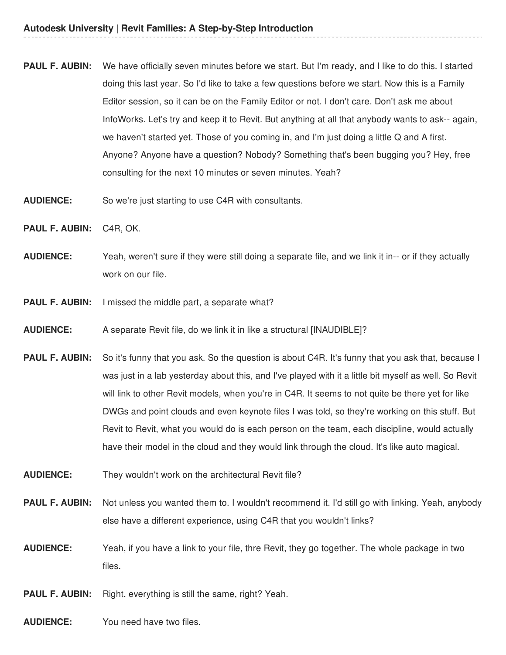- **PAUL F. AUBIN:** We have officially seven minutes before we start. But I'm ready, and I like to do this. I started doing this last year. So I'd like to take a few questions before we start. Now this is a Family Editor session, so it can be on the Family Editor or not. I don't care. Don't ask me about InfoWorks. Let's try and keep it to Revit. But anything at all that anybody wants to ask-- again, we haven't started yet. Those of you coming in, and I'm just doing a little Q and A first. Anyone? Anyone have a question? Nobody? Something that's been bugging you? Hey, free consulting for the next 10 minutes or seven minutes. Yeah?
- **AUDIENCE:** So we're just starting to use C4R with consultants.
- **PAUL F. AUBIN:** C4R, OK.
- **AUDIENCE:** Yeah, weren't sure if they were still doing a separate file, and we link it in-- or if they actually work on our file.
- **PAUL F. AUBIN:** I missed the middle part, a separate what?
- **AUDIENCE:** A separate Revit file, do we link it in like a structural [INAUDIBLE]?
- **PAUL F. AUBIN:** So it's funny that you ask. So the question is about C4R. It's funny that you ask that, because I was just in a lab yesterday about this, and I've played with it a little bit myself as well. So Revit will link to other Revit models, when you're in C4R. It seems to not quite be there yet for like DWGs and point clouds and even keynote files I was told, so they're working on this stuff. But Revit to Revit, what you would do is each person on the team, each discipline, would actually have their model in the cloud and they would link through the cloud. It's like auto magical.
- **AUDIENCE:** They wouldn't work on the architectural Revit file?
- **PAUL F. AUBIN:** Not unless you wanted them to. I wouldn't recommend it. I'd still go with linking. Yeah, anybody else have a different experience, using C4R that you wouldn't links?
- **AUDIENCE:** Yeah, if you have a link to your file, thre Revit, they go together. The whole package in two files.
- **PAUL F. AUBIN:** Right, everything is still the same, right? Yeah.
- **AUDIENCE:** You need have two files.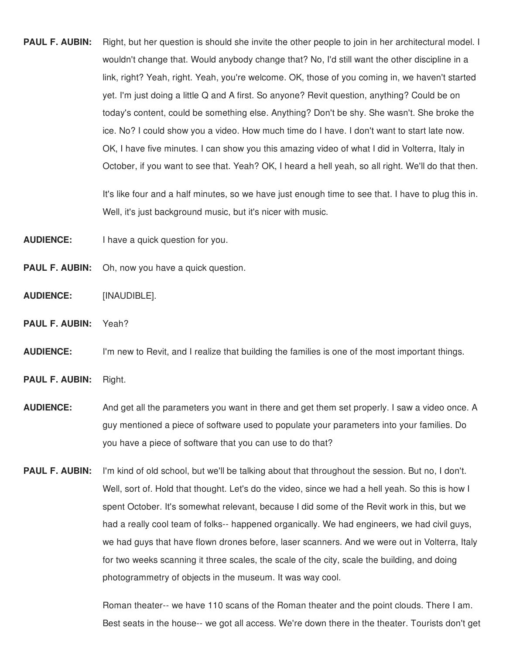**PAUL F. AUBIN:** Right, but her question is should she invite the other people to join in her architectural model. I wouldn't change that. Would anybody change that? No, I'd still want the other discipline in a link, right? Yeah, right. Yeah, you're welcome. OK, those of you coming in, we haven't started yet. I'm just doing a little Q and A first. So anyone? Revit question, anything? Could be on today's content, could be something else. Anything? Don't be shy. She wasn't. She broke the ice. No? I could show you a video. How much time do I have. I don't want to start late now. OK, I have five minutes. I can show you this amazing video of what I did in Volterra, Italy in October, if you want to see that. Yeah? OK, I heard a hell yeah, so all right. We'll do that then.

> It's like four and a half minutes, so we have just enough time to see that. I have to plug this in. Well, it's just background music, but it's nicer with music.

**AUDIENCE:** I have a quick question for you.

- **PAUL F. AUBIN:** Oh, now you have a quick question.
- **AUDIENCE:** [INAUDIBLE].
- **PAUL F. AUBIN:** Yeah?

**AUDIENCE:** I'm new to Revit, and I realize that building the families is one of the most important things.

- **PAUL F. AUBIN:** Right.
- **AUDIENCE:** And get all the parameters you want in there and get them set properly. I saw a video once. A guy mentioned a piece of software used to populate your parameters into your families. Do you have a piece of software that you can use to do that?
- **PAUL F. AUBIN:** I'm kind of old school, but we'll be talking about that throughout the session. But no, I don't. Well, sort of. Hold that thought. Let's do the video, since we had a hell yeah. So this is how I spent October. It's somewhat relevant, because I did some of the Revit work in this, but we had a really cool team of folks-- happened organically. We had engineers, we had civil guys, we had guys that have flown drones before, laser scanners. And we were out in Volterra, Italy for two weeks scanning it three scales, the scale of the city, scale the building, and doing photogrammetry of objects in the museum. It was way cool.

Roman theater-- we have 110 scans of the Roman theater and the point clouds. There I am. Best seats in the house-- we got all access. We're down there in the theater. Tourists don't get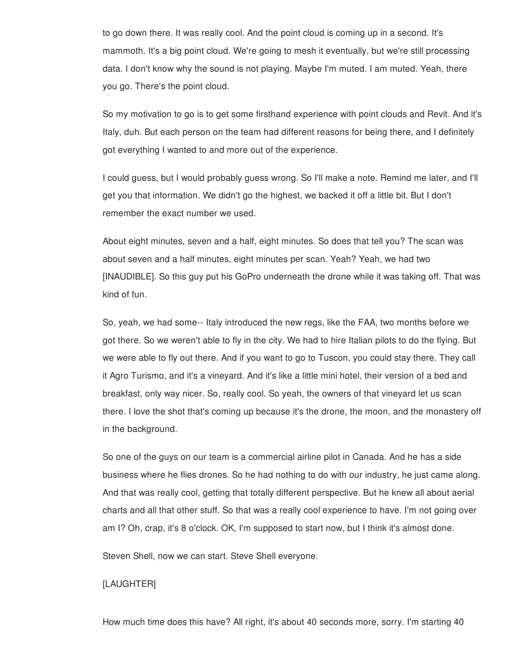to go down there. It was really cool. And the point cloud is coming up in a second. It's mammoth. It's a big point cloud. We're going to mesh it eventually, but we're still processing data. I don't know why the sound is not playing. Maybe I'm muted. I am muted. Yeah, there you go. There's the point cloud.

So my motivation to go is to get some firsthand experience with point clouds and Revit. And it's Italy, duh. But each person on the team had different reasons for being there, and I definitely got everything I wanted to and more out of the experience.

I could guess, but I would probably guess wrong. So I'll make a note. Remind me later, and I'll get you that information. We didn't go the highest, we backed it off a little bit. But I don't remember the exact number we used.

About eight minutes, seven and a half, eight minutes. So does that tell you? The scan was about seven and a half minutes, eight minutes per scan. Yeah? Yeah, we had two [INAUDIBLE]. So this guy put his GoPro underneath the drone while it was taking off. That was kind of fun.

So, yeah, we had some-- Italy introduced the new regs, like the FAA, two months before we got there. So we weren't able to fly in the city. We had to hire Italian pilots to do the flying. But we were able to fly out there. And if you want to go to Tuscon, you could stay there. They call it Agro Turismo, and it's a vineyard. And it's like a little mini hotel, their version of a bed and breakfast, only way nicer. So, really cool. So yeah, the owners of that vineyard let us scan there. I love the shot that's coming up because it's the drone, the moon, and the monastery off in the background.

So one of the guys on our team is a commercial airline pilot in Canada. And he has a side business where he flies drones. So he had nothing to do with our industry, he just came along. And that was really cool, getting that totally different perspective. But he knew all about aerial charts and all that other stuff. So that was a really cool experience to have. I'm not going over am I? Oh, crap, it's 8 o'clock. OK, I'm supposed to start now, but I think it's almost done.

Steven Shell, now we can start. Steve Shell everyone.

# [LAUGHTER]

How much time does this have? All right, it's about 40 seconds more, sorry. I'm starting 40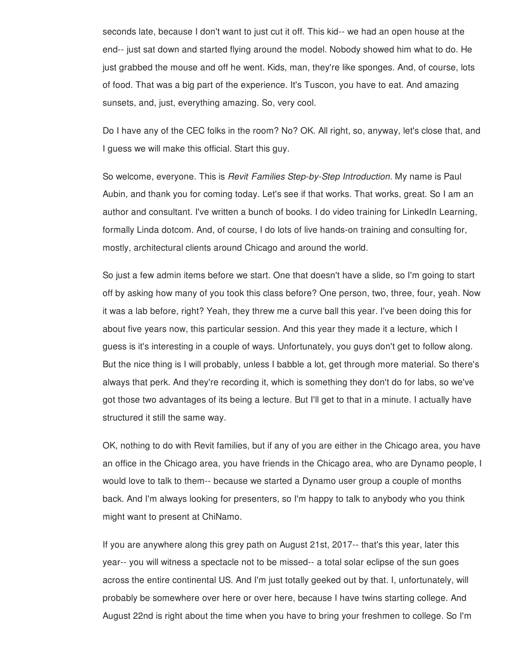seconds late, because I don't want to just cut it off. This kid-- we had an open house at the end-- just sat down and started flying around the model. Nobody showed him what to do. He just grabbed the mouse and off he went. Kids, man, they're like sponges. And, of course, lots of food. That was a big part of the experience. It's Tuscon, you have to eat. And amazing sunsets, and, just, everything amazing. So, very cool.

Do I have any of the CEC folks in the room? No? OK. All right, so, anyway, let's close that, and I guess we will make this official. Start this guy.

So welcome, everyone. This is *Revit Families Step-by-Step Introduction.* My name is Paul Aubin, and thank you for coming today. Let's see if that works. That works, great. So I am an author and consultant. I've written a bunch of books. I do video training for LinkedIn Learning, formally Linda dotcom. And, of course, I do lots of live hands-on training and consulting for, mostly, architectural clients around Chicago and around the world.

So just a few admin items before we start. One that doesn't have a slide, so I'm going to start off by asking how many of you took this class before? One person, two, three, four, yeah. Now it was a lab before, right? Yeah, they threw me a curve ball this year. I've been doing this for about five years now, this particular session. And this year they made it a lecture, which I guess is it's interesting in a couple of ways. Unfortunately, you guys don't get to follow along. But the nice thing is I will probably, unless I babble a lot, get through more material. So there's always that perk. And they're recording it, which is something they don't do for labs, so we've got those two advantages of its being a lecture. But I'll get to that in a minute. I actually have structured it still the same way.

OK, nothing to do with Revit families, but if any of you are either in the Chicago area, you have an office in the Chicago area, you have friends in the Chicago area, who are Dynamo people, I would love to talk to them-- because we started a Dynamo user group a couple of months back. And I'm always looking for presenters, so I'm happy to talk to anybody who you think might want to present at ChiNamo.

If you are anywhere along this grey path on August 21st, 2017-- that's this year, later this year-- you will witness a spectacle not to be missed-- a total solar eclipse of the sun goes across the entire continental US. And I'm just totally geeked out by that. I, unfortunately, will probably be somewhere over here or over here, because I have twins starting college. And August 22nd is right about the time when you have to bring your freshmen to college. So I'm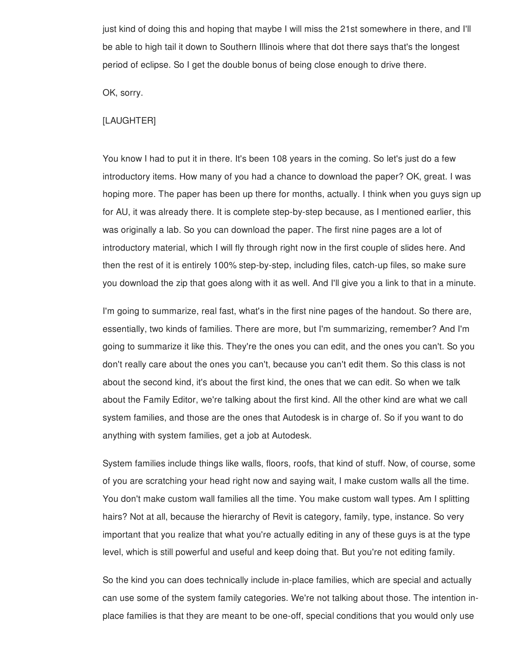just kind of doing this and hoping that maybe I will miss the 21st somewhere in there, and I'll be able to high tail it down to Southern Illinois where that dot there says that's the longest period of eclipse. So I get the double bonus of being close enough to drive there.

OK, sorry.

### [LAUGHTER]

You know I had to put it in there. It's been 108 years in the coming. So let's just do a few introductory items. How many of you had a chance to download the paper? OK, great. I was hoping more. The paper has been up there for months, actually. I think when you guys sign up for AU, it was already there. It is complete step-by-step because, as I mentioned earlier, this was originally a lab. So you can download the paper. The first nine pages are a lot of introductory material, which I will fly through right now in the first couple of slides here. And then the rest of it is entirely 100% step-by-step, including files, catch-up files, so make sure you download the zip that goes along with it as well. And I'll give you a link to that in a minute.

I'm going to summarize, real fast, what's in the first nine pages of the handout. So there are, essentially, two kinds of families. There are more, but I'm summarizing, remember? And I'm going to summarize it like this. They're the ones you can edit, and the ones you can't. So you don't really care about the ones you can't, because you can't edit them. So this class is not about the second kind, it's about the first kind, the ones that we can edit. So when we talk about the Family Editor, we're talking about the first kind. All the other kind are what we call system families, and those are the ones that Autodesk is in charge of. So if you want to do anything with system families, get a job at Autodesk.

System families include things like walls, floors, roofs, that kind of stuff. Now, of course, some of you are scratching your head right now and saying wait, I make custom walls all the time. You don't make custom wall families all the time. You make custom wall types. Am I splitting hairs? Not at all, because the hierarchy of Revit is category, family, type, instance. So very important that you realize that what you're actually editing in any of these guys is at the type level, which is still powerful and useful and keep doing that. But you're not editing family.

So the kind you can does technically include in-place families, which are special and actually can use some of the system family categories. We're not talking about those. The intention inplace families is that they are meant to be one-off, special conditions that you would only use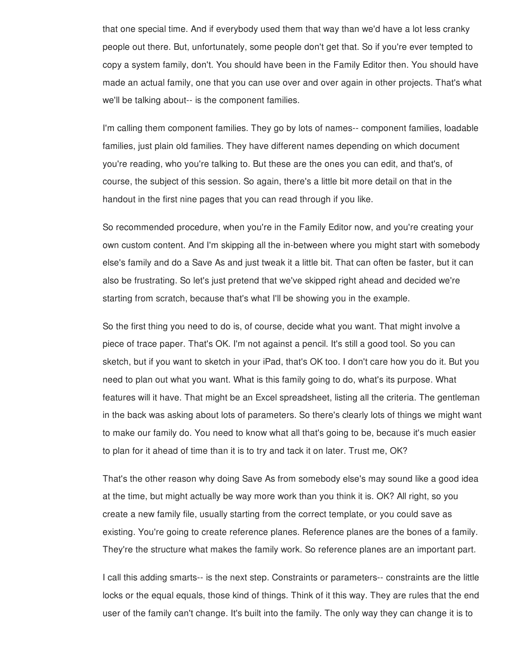that one special time. And if everybody used them that way than we'd have a lot less cranky people out there. But, unfortunately, some people don't get that. So if you're ever tempted to copy a system family, don't. You should have been in the Family Editor then. You should have made an actual family, one that you can use over and over again in other projects. That's what we'll be talking about-- is the component families.

I'm calling them component families. They go by lots of names-- component families, loadable families, just plain old families. They have different names depending on which document you're reading, who you're talking to. But these are the ones you can edit, and that's, of course, the subject of this session. So again, there's a little bit more detail on that in the handout in the first nine pages that you can read through if you like.

So recommended procedure, when you're in the Family Editor now, and you're creating your own custom content. And I'm skipping all the in-between where you might start with somebody else's family and do a Save As and just tweak it a little bit. That can often be faster, but it can also be frustrating. So let's just pretend that we've skipped right ahead and decided we're starting from scratch, because that's what I'll be showing you in the example.

So the first thing you need to do is, of course, decide what you want. That might involve a piece of trace paper. That's OK. I'm not against a pencil. It's still a good tool. So you can sketch, but if you want to sketch in your iPad, that's OK too. I don't care how you do it. But you need to plan out what you want. What is this family going to do, what's its purpose. What features will it have. That might be an Excel spreadsheet, listing all the criteria. The gentleman in the back was asking about lots of parameters. So there's clearly lots of things we might want to make our family do. You need to know what all that's going to be, because it's much easier to plan for it ahead of time than it is to try and tack it on later. Trust me, OK?

That's the other reason why doing Save As from somebody else's may sound like a good idea at the time, but might actually be way more work than you think it is. OK? All right, so you create a new family file, usually starting from the correct template, or you could save as existing. You're going to create reference planes. Reference planes are the bones of a family. They're the structure what makes the family work. So reference planes are an important part.

I call this adding smarts-- is the next step. Constraints or parameters-- constraints are the little locks or the equal equals, those kind of things. Think of it this way. They are rules that the end user of the family can't change. It's built into the family. The only way they can change it is to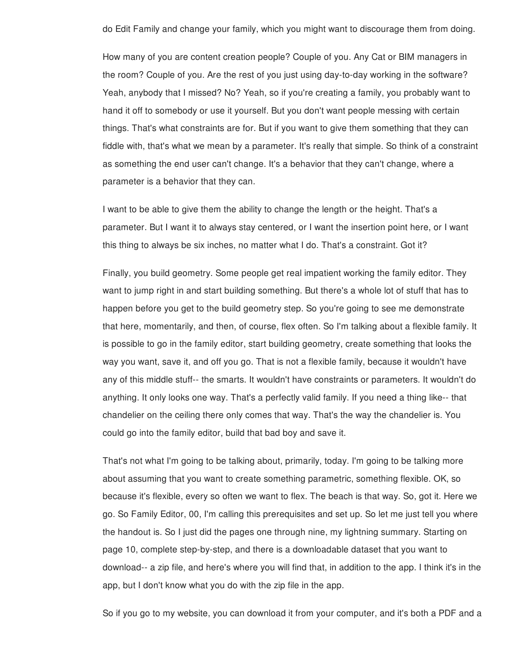do Edit Family and change your family, which you might want to discourage them from doing.

How many of you are content creation people? Couple of you. Any Cat or BIM managers in the room? Couple of you. Are the rest of you just using day-to-day working in the software? Yeah, anybody that I missed? No? Yeah, so if you're creating a family, you probably want to hand it off to somebody or use it yourself. But you don't want people messing with certain things. That's what constraints are for. But if you want to give them something that they can fiddle with, that's what we mean by a parameter. It's really that simple. So think of a constraint as something the end user can't change. It's a behavior that they can't change, where a parameter is a behavior that they can.

I want to be able to give them the ability to change the length or the height. That's a parameter. But I want it to always stay centered, or I want the insertion point here, or I want this thing to always be six inches, no matter what I do. That's a constraint. Got it?

Finally, you build geometry. Some people get real impatient working the family editor. They want to jump right in and start building something. But there's a whole lot of stuff that has to happen before you get to the build geometry step. So you're going to see me demonstrate that here, momentarily, and then, of course, flex often. So I'm talking about a flexible family. It is possible to go in the family editor, start building geometry, create something that looks the way you want, save it, and off you go. That is not a flexible family, because it wouldn't have any of this middle stuff-- the smarts. It wouldn't have constraints or parameters. It wouldn't do anything. It only looks one way. That's a perfectly valid family. If you need a thing like-- that chandelier on the ceiling there only comes that way. That's the way the chandelier is. You could go into the family editor, build that bad boy and save it.

That's not what I'm going to be talking about, primarily, today. I'm going to be talking more about assuming that you want to create something parametric, something flexible. OK, so because it's flexible, every so often we want to flex. The beach is that way. So, got it. Here we go. So Family Editor, 00, I'm calling this prerequisites and set up. So let me just tell you where the handout is. So I just did the pages one through nine, my lightning summary. Starting on page 10, complete step-by-step, and there is a downloadable dataset that you want to download-- a zip file, and here's where you will find that, in addition to the app. I think it's in the app, but I don't know what you do with the zip file in the app.

So if you go to my website, you can download it from your computer, and it's both a PDF and a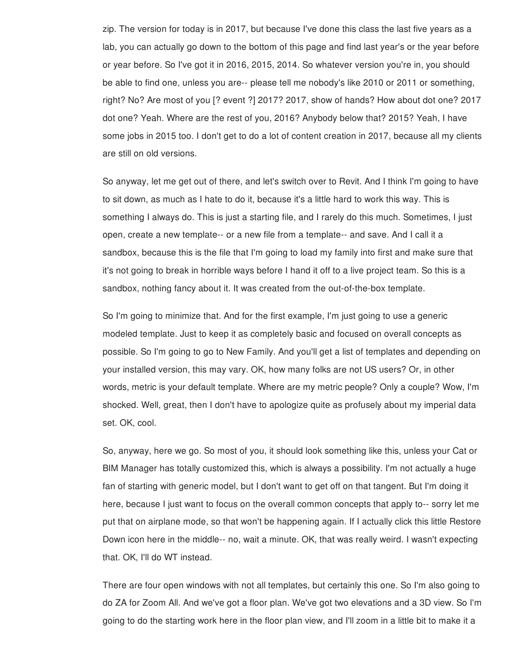zip. The version for today is in 2017, but because I've done this class the last five years as a lab, you can actually go down to the bottom of this page and find last year's or the year before or year before. So I've got it in 2016, 2015, 2014. So whatever version you're in, you should be able to find one, unless you are-- please tell me nobody's like 2010 or 2011 or something, right? No? Are most of you [? event ?] 2017? 2017, show of hands? How about dot one? 2017 dot one? Yeah. Where are the rest of you, 2016? Anybody below that? 2015? Yeah, I have some jobs in 2015 too. I don't get to do a lot of content creation in 2017, because all my clients are still on old versions.

So anyway, let me get out of there, and let's switch over to Revit. And I think I'm going to have to sit down, as much as I hate to do it, because it's a little hard to work this way. This is something I always do. This is just a starting file, and I rarely do this much. Sometimes, I just open, create a new template-- or a new file from a template-- and save. And I call it a sandbox, because this is the file that I'm going to load my family into first and make sure that it's not going to break in horrible ways before I hand it off to a live project team. So this is a sandbox, nothing fancy about it. It was created from the out-of-the-box template.

So I'm going to minimize that. And for the first example, I'm just going to use a generic modeled template. Just to keep it as completely basic and focused on overall concepts as possible. So I'm going to go to New Family. And you'll get a list of templates and depending on your installed version, this may vary. OK, how many folks are not US users? Or, in other words, metric is your default template. Where are my metric people? Only a couple? Wow, I'm shocked. Well, great, then I don't have to apologize quite as profusely about my imperial data set. OK, cool.

So, anyway, here we go. So most of you, it should look something like this, unless your Cat or BIM Manager has totally customized this, which is always a possibility. I'm not actually a huge fan of starting with generic model, but I don't want to get off on that tangent. But I'm doing it here, because I just want to focus on the overall common concepts that apply to-- sorry let me put that on airplane mode, so that won't be happening again. If I actually click this little Restore Down icon here in the middle-- no, wait a minute. OK, that was really weird. I wasn't expecting that. OK, I'll do WT instead.

There are four open windows with not all templates, but certainly this one. So I'm also going to do ZA for Zoom All. And we've got a floor plan. We've got two elevations and a 3D view. So I'm going to do the starting work here in the floor plan view, and I'll zoom in a little bit to make it a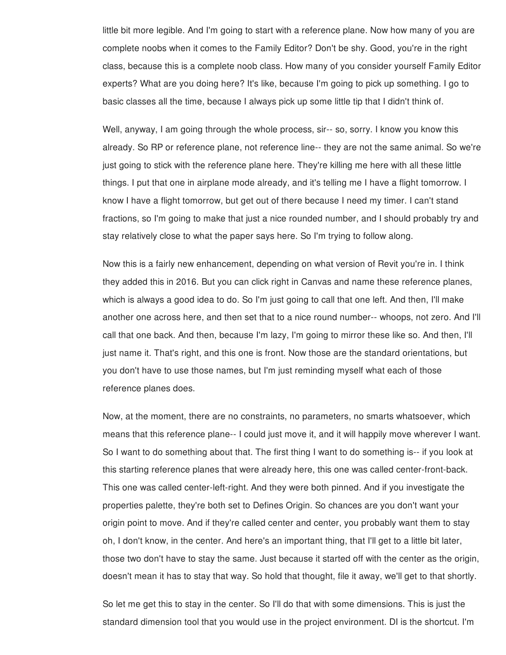little bit more legible. And I'm going to start with a reference plane. Now how many of you are complete noobs when it comes to the Family Editor? Don't be shy. Good, you're in the right class, because this is a complete noob class. How many of you consider yourself Family Editor experts? What are you doing here? It's like, because I'm going to pick up something. I go to basic classes all the time, because I always pick up some little tip that I didn't think of.

Well, anyway, I am going through the whole process, sir-- so, sorry. I know you know this already. So RP or reference plane, not reference line-- they are not the same animal. So we're just going to stick with the reference plane here. They're killing me here with all these little things. I put that one in airplane mode already, and it's telling me I have a flight tomorrow. I know I have a flight tomorrow, but get out of there because I need my timer. I can't stand fractions, so I'm going to make that just a nice rounded number, and I should probably try and stay relatively close to what the paper says here. So I'm trying to follow along.

Now this is a fairly new enhancement, depending on what version of Revit you're in. I think they added this in 2016. But you can click right in Canvas and name these reference planes, which is always a good idea to do. So I'm just going to call that one left. And then, I'll make another one across here, and then set that to a nice round number-- whoops, not zero. And I'll call that one back. And then, because I'm lazy, I'm going to mirror these like so. And then, I'll just name it. That's right, and this one is front. Now those are the standard orientations, but you don't have to use those names, but I'm just reminding myself what each of those reference planes does.

Now, at the moment, there are no constraints, no parameters, no smarts whatsoever, which means that this reference plane-- I could just move it, and it will happily move wherever I want. So I want to do something about that. The first thing I want to do something is-- if you look at this starting reference planes that were already here, this one was called center-front-back. This one was called center-left-right. And they were both pinned. And if you investigate the properties palette, they're both set to Defines Origin. So chances are you don't want your origin point to move. And if they're called center and center, you probably want them to stay oh, I don't know, in the center. And here's an important thing, that I'll get to a little bit later, those two don't have to stay the same. Just because it started off with the center as the origin, doesn't mean it has to stay that way. So hold that thought, file it away, we'll get to that shortly.

So let me get this to stay in the center. So I'll do that with some dimensions. This is just the standard dimension tool that you would use in the project environment. DI is the shortcut. I'm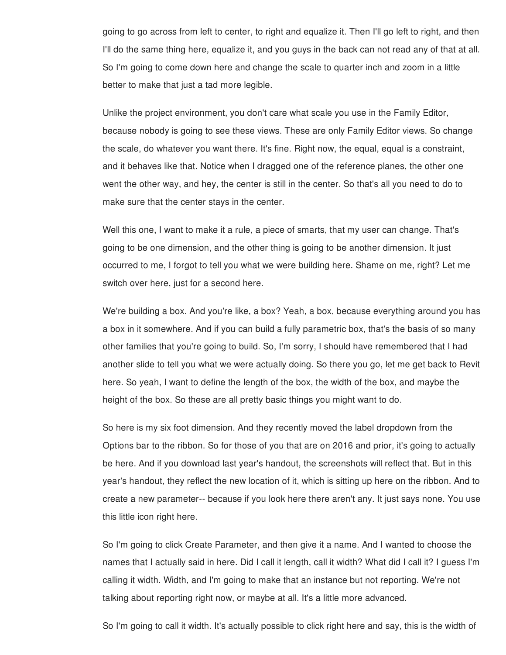going to go across from left to center, to right and equalize it. Then I'll go left to right, and then I'll do the same thing here, equalize it, and you guys in the back can not read any of that at all. So I'm going to come down here and change the scale to quarter inch and zoom in a little better to make that just a tad more legible.

Unlike the project environment, you don't care what scale you use in the Family Editor, because nobody is going to see these views. These are only Family Editor views. So change the scale, do whatever you want there. It's fine. Right now, the equal, equal is a constraint, and it behaves like that. Notice when I dragged one of the reference planes, the other one went the other way, and hey, the center is still in the center. So that's all you need to do to make sure that the center stays in the center.

Well this one, I want to make it a rule, a piece of smarts, that my user can change. That's going to be one dimension, and the other thing is going to be another dimension. It just occurred to me, I forgot to tell you what we were building here. Shame on me, right? Let me switch over here, just for a second here.

We're building a box. And you're like, a box? Yeah, a box, because everything around you has a box in it somewhere. And if you can build a fully parametric box, that's the basis of so many other families that you're going to build. So, I'm sorry, I should have remembered that I had another slide to tell you what we were actually doing. So there you go, let me get back to Revit here. So yeah, I want to define the length of the box, the width of the box, and maybe the height of the box. So these are all pretty basic things you might want to do.

So here is my six foot dimension. And they recently moved the label dropdown from the Options bar to the ribbon. So for those of you that are on 2016 and prior, it's going to actually be here. And if you download last year's handout, the screenshots will reflect that. But in this year's handout, they reflect the new location of it, which is sitting up here on the ribbon. And to create a new parameter-- because if you look here there aren't any. It just says none. You use this little icon right here.

So I'm going to click Create Parameter, and then give it a name. And I wanted to choose the names that I actually said in here. Did I call it length, call it width? What did I call it? I guess I'm calling it width. Width, and I'm going to make that an instance but not reporting. We're not talking about reporting right now, or maybe at all. It's a little more advanced.

So I'm going to call it width. It's actually possible to click right here and say, this is the width of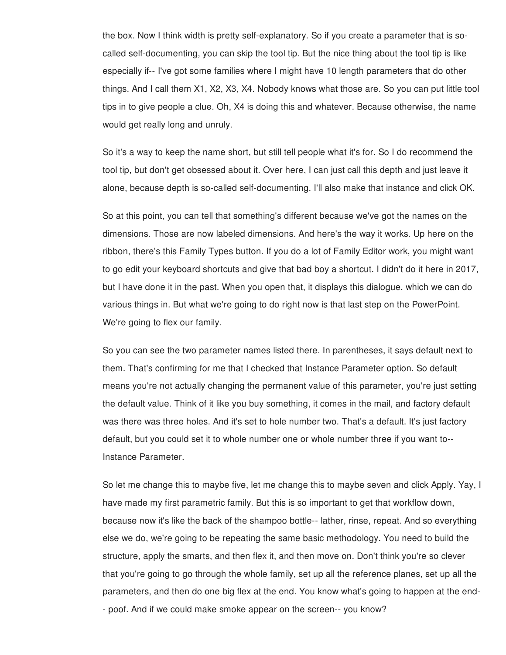the box. Now I think width is pretty self-explanatory. So if you create a parameter that is socalled self-documenting, you can skip the tool tip. But the nice thing about the tool tip is like especially if-- I've got some families where I might have 10 length parameters that do other things. And I call them X1, X2, X3, X4. Nobody knows what those are. So you can put little tool tips in to give people a clue. Oh, X4 is doing this and whatever. Because otherwise, the name would get really long and unruly.

So it's a way to keep the name short, but still tell people what it's for. So I do recommend the tool tip, but don't get obsessed about it. Over here, I can just call this depth and just leave it alone, because depth is so-called self-documenting. I'll also make that instance and click OK.

So at this point, you can tell that something's different because we've got the names on the dimensions. Those are now labeled dimensions. And here's the way it works. Up here on the ribbon, there's this Family Types button. If you do a lot of Family Editor work, you might want to go edit your keyboard shortcuts and give that bad boy a shortcut. I didn't do it here in 2017, but I have done it in the past. When you open that, it displays this dialogue, which we can do various things in. But what we're going to do right now is that last step on the PowerPoint. We're going to flex our family.

So you can see the two parameter names listed there. In parentheses, it says default next to them. That's confirming for me that I checked that Instance Parameter option. So default means you're not actually changing the permanent value of this parameter, you're just setting the default value. Think of it like you buy something, it comes in the mail, and factory default was there was three holes. And it's set to hole number two. That's a default. It's just factory default, but you could set it to whole number one or whole number three if you want to-- Instance Parameter.

So let me change this to maybe five, let me change this to maybe seven and click Apply. Yay, I have made my first parametric family. But this is so important to get that workflow down, because now it's like the back of the shampoo bottle-- lather, rinse, repeat. And so everything else we do, we're going to be repeating the same basic methodology. You need to build the structure, apply the smarts, and then flex it, and then move on. Don't think you're so clever that you're going to go through the whole family, set up all the reference planes, set up all the parameters, and then do one big flex at the end. You know what's going to happen at the end- - poof. And if we could make smoke appear on the screen-- you know?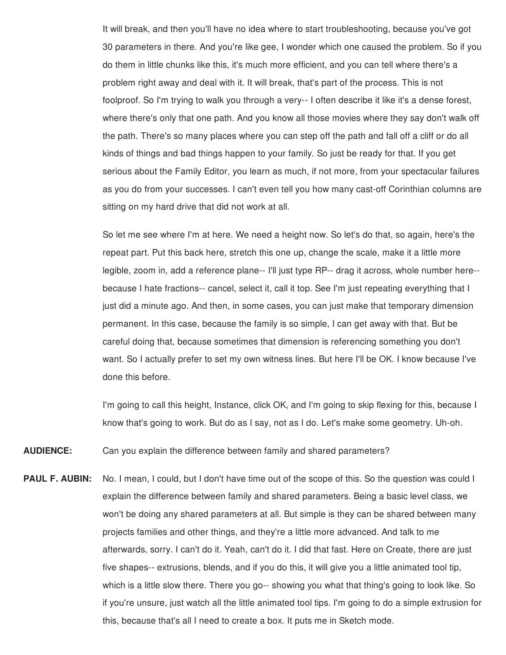It will break, and then you'll have no idea where to start troubleshooting, because you've got 30 parameters in there. And you're like gee, I wonder which one caused the problem. So if you do them in little chunks like this, it's much more efficient, and you can tell where there's a problem right away and deal with it. It will break, that's part of the process. This is not foolproof. So I'm trying to walk you through a very-- I often describe it like it's a dense forest, where there's only that one path. And you know all those movies where they say don't walk off the path. There's so many places where you can step off the path and fall off a cliff or do all kinds of things and bad things happen to your family. So just be ready for that. If you get serious about the Family Editor, you learn as much, if not more, from your spectacular failures as you do from your successes. I can't even tell you how many cast-off Corinthian columns are sitting on my hard drive that did not work at all.

So let me see where I'm at here. We need a height now. So let's do that, so again, here's the repeat part. Put this back here, stretch this one up, change the scale, make it a little more legible, zoom in, add a reference plane-- I'll just type RP-- drag it across, whole number here- because I hate fractions-- cancel, select it, call it top. See I'm just repeating everything that I just did a minute ago. And then, in some cases, you can just make that temporary dimension permanent. In this case, because the family is so simple, I can get away with that. But be careful doing that, because sometimes that dimension is referencing something you don't want. So I actually prefer to set my own witness lines. But here I'll be OK. I know because I've done this before.

I'm going to call this height, Instance, click OK, and I'm going to skip flexing for this, because I know that's going to work. But do as I say, not as I do. Let's make some geometry. Uh-oh.

**AUDIENCE:** Can you explain the difference between family and shared parameters?

**PAUL F. AUBIN:** No. I mean, I could, but I don't have time out of the scope of this. So the question was could I explain the difference between family and shared parameters. Being a basic level class, we won't be doing any shared parameters at all. But simple is they can be shared between many projects families and other things, and they're a little more advanced. And talk to me afterwards, sorry. I can't do it. Yeah, can't do it. I did that fast. Here on Create, there are just five shapes-- extrusions, blends, and if you do this, it will give you a little animated tool tip, which is a little slow there. There you go-- showing you what that thing's going to look like. So if you're unsure, just watch all the little animated tool tips. I'm going to do a simple extrusion for this, because that's all I need to create a box. It puts me in Sketch mode.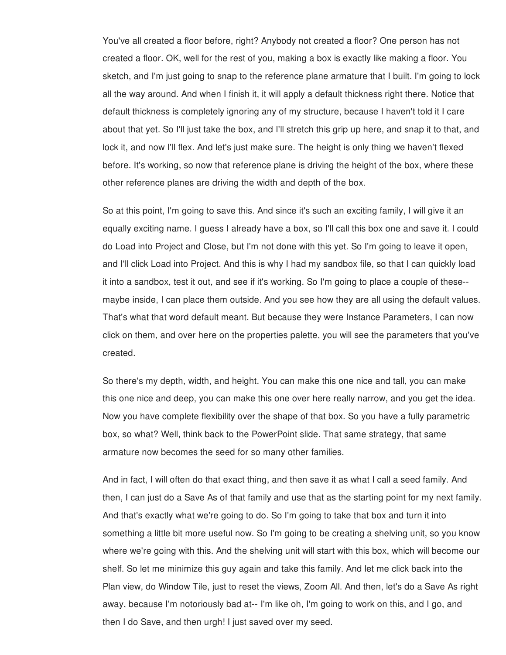You've all created a floor before, right? Anybody not created a floor? One person has not created a floor. OK, well for the rest of you, making a box is exactly like making a floor. You sketch, and I'm just going to snap to the reference plane armature that I built. I'm going to lock all the way around. And when I finish it, it will apply a default thickness right there. Notice that default thickness is completely ignoring any of my structure, because I haven't told it I care about that yet. So I'll just take the box, and I'll stretch this grip up here, and snap it to that, and lock it, and now I'll flex. And let's just make sure. The height is only thing we haven't flexed before. It's working, so now that reference plane is driving the height of the box, where these other reference planes are driving the width and depth of the box.

So at this point, I'm going to save this. And since it's such an exciting family, I will give it an equally exciting name. I guess I already have a box, so I'll call this box one and save it. I could do Load into Project and Close, but I'm not done with this yet. So I'm going to leave it open, and I'll click Load into Project. And this is why I had my sandbox file, so that I can quickly load it into a sandbox, test it out, and see if it's working. So I'm going to place a couple of these- maybe inside, I can place them outside. And you see how they are all using the default values. That's what that word default meant. But because they were Instance Parameters, I can now click on them, and over here on the properties palette, you will see the parameters that you've created.

So there's my depth, width, and height. You can make this one nice and tall, you can make this one nice and deep, you can make this one over here really narrow, and you get the idea. Now you have complete flexibility over the shape of that box. So you have a fully parametric box, so what? Well, think back to the PowerPoint slide. That same strategy, that same armature now becomes the seed for so many other families.

And in fact, I will often do that exact thing, and then save it as what I call a seed family. And then, I can just do a Save As of that family and use that as the starting point for my next family. And that's exactly what we're going to do. So I'm going to take that box and turn it into something a little bit more useful now. So I'm going to be creating a shelving unit, so you know where we're going with this. And the shelving unit will start with this box, which will become our shelf. So let me minimize this guy again and take this family. And let me click back into the Plan view, do Window Tile, just to reset the views, Zoom All. And then, let's do a Save As right away, because I'm notoriously bad at-- I'm like oh, I'm going to work on this, and I go, and then I do Save, and then urgh! I just saved over my seed.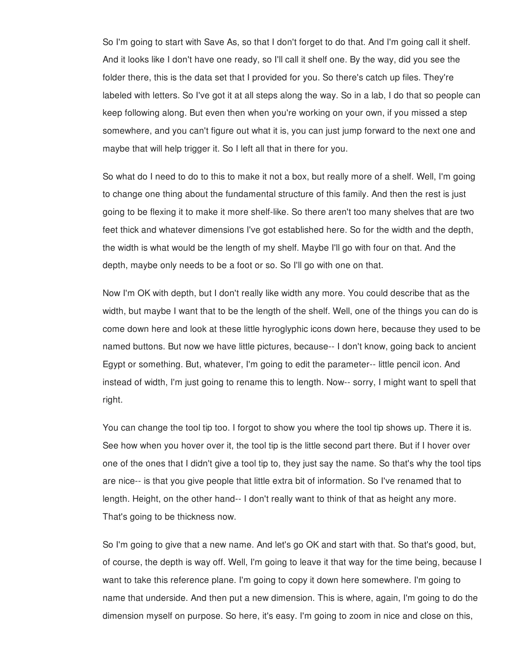So I'm going to start with Save As, so that I don't forget to do that. And I'm going call it shelf. And it looks like I don't have one ready, so I'll call it shelf one. By the way, did you see the folder there, this is the data set that I provided for you. So there's catch up files. They're labeled with letters. So I've got it at all steps along the way. So in a lab, I do that so people can keep following along. But even then when you're working on your own, if you missed a step somewhere, and you can't figure out what it is, you can just jump forward to the next one and maybe that will help trigger it. So I left all that in there for you.

So what do I need to do to this to make it not a box, but really more of a shelf. Well, I'm going to change one thing about the fundamental structure of this family. And then the rest is just going to be flexing it to make it more shelf-like. So there aren't too many shelves that are two feet thick and whatever dimensions I've got established here. So for the width and the depth, the width is what would be the length of my shelf. Maybe I'll go with four on that. And the depth, maybe only needs to be a foot or so. So I'll go with one on that.

Now I'm OK with depth, but I don't really like width any more. You could describe that as the width, but maybe I want that to be the length of the shelf. Well, one of the things you can do is come down here and look at these little hyroglyphic icons down here, because they used to be named buttons. But now we have little pictures, because-- I don't know, going back to ancient Egypt or something. But, whatever, I'm going to edit the parameter-- little pencil icon. And instead of width, I'm just going to rename this to length. Now-- sorry, I might want to spell that right.

You can change the tool tip too. I forgot to show you where the tool tip shows up. There it is. See how when you hover over it, the tool tip is the little second part there. But if I hover over one of the ones that I didn't give a tool tip to, they just say the name. So that's why the tool tips are nice-- is that you give people that little extra bit of information. So I've renamed that to length. Height, on the other hand-- I don't really want to think of that as height any more. That's going to be thickness now.

So I'm going to give that a new name. And let's go OK and start with that. So that's good, but, of course, the depth is way off. Well, I'm going to leave it that way for the time being, because I want to take this reference plane. I'm going to copy it down here somewhere. I'm going to name that underside. And then put a new dimension. This is where, again, I'm going to do the dimension myself on purpose. So here, it's easy. I'm going to zoom in nice and close on this,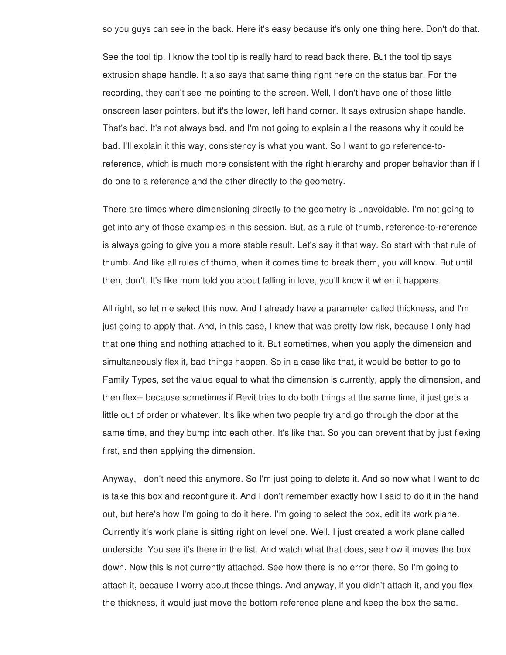so you guys can see in the back. Here it's easy because it's only one thing here. Don't do that.

See the tool tip. I know the tool tip is really hard to read back there. But the tool tip says extrusion shape handle. It also says that same thing right here on the status bar. For the recording, they can't see me pointing to the screen. Well, I don't have one of those little onscreen laser pointers, but it's the lower, left hand corner. It says extrusion shape handle. That's bad. It's not always bad, and I'm not going to explain all the reasons why it could be bad. I'll explain it this way, consistency is what you want. So I want to go reference-toreference, which is much more consistent with the right hierarchy and proper behavior than if I do one to a reference and the other directly to the geometry.

There are times where dimensioning directly to the geometry is unavoidable. I'm not going to get into any of those examples in this session. But, as a rule of thumb, reference-to-reference is always going to give you a more stable result. Let's say it that way. So start with that rule of thumb. And like all rules of thumb, when it comes time to break them, you will know. But until then, don't. It's like mom told you about falling in love, you'll know it when it happens.

All right, so let me select this now. And I already have a parameter called thickness, and I'm just going to apply that. And, in this case, I knew that was pretty low risk, because I only had that one thing and nothing attached to it. But sometimes, when you apply the dimension and simultaneously flex it, bad things happen. So in a case like that, it would be better to go to Family Types, set the value equal to what the dimension is currently, apply the dimension, and then flex-- because sometimes if Revit tries to do both things at the same time, it just gets a little out of order or whatever. It's like when two people try and go through the door at the same time, and they bump into each other. It's like that. So you can prevent that by just flexing first, and then applying the dimension.

Anyway, I don't need this anymore. So I'm just going to delete it. And so now what I want to do is take this box and reconfigure it. And I don't remember exactly how I said to do it in the hand out, but here's how I'm going to do it here. I'm going to select the box, edit its work plane. Currently it's work plane is sitting right on level one. Well, I just created a work plane called underside. You see it's there in the list. And watch what that does, see how it moves the box down. Now this is not currently attached. See how there is no error there. So I'm going to attach it, because I worry about those things. And anyway, if you didn't attach it, and you flex the thickness, it would just move the bottom reference plane and keep the box the same.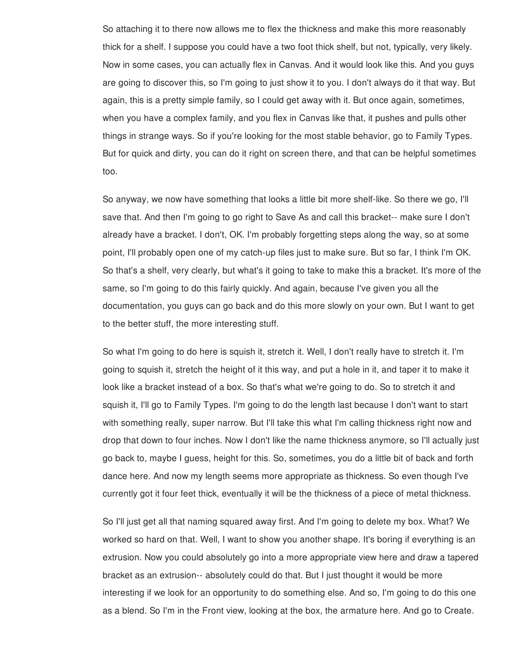So attaching it to there now allows me to flex the thickness and make this more reasonably thick for a shelf. I suppose you could have a two foot thick shelf, but not, typically, very likely. Now in some cases, you can actually flex in Canvas. And it would look like this. And you guys are going to discover this, so I'm going to just show it to you. I don't always do it that way. But again, this is a pretty simple family, so I could get away with it. But once again, sometimes, when you have a complex family, and you flex in Canvas like that, it pushes and pulls other things in strange ways. So if you're looking for the most stable behavior, go to Family Types. But for quick and dirty, you can do it right on screen there, and that can be helpful sometimes too.

So anyway, we now have something that looks a little bit more shelf-like. So there we go, I'll save that. And then I'm going to go right to Save As and call this bracket-- make sure I don't already have a bracket. I don't, OK. I'm probably forgetting steps along the way, so at some point, I'll probably open one of my catch-up files just to make sure. But so far, I think I'm OK. So that's a shelf, very clearly, but what's it going to take to make this a bracket. It's more of the same, so I'm going to do this fairly quickly. And again, because I've given you all the documentation, you guys can go back and do this more slowly on your own. But I want to get to the better stuff, the more interesting stuff.

So what I'm going to do here is squish it, stretch it. Well, I don't really have to stretch it. I'm going to squish it, stretch the height of it this way, and put a hole in it, and taper it to make it look like a bracket instead of a box. So that's what we're going to do. So to stretch it and squish it, I'll go to Family Types. I'm going to do the length last because I don't want to start with something really, super narrow. But I'll take this what I'm calling thickness right now and drop that down to four inches. Now I don't like the name thickness anymore, so I'll actually just go back to, maybe I guess, height for this. So, sometimes, you do a little bit of back and forth dance here. And now my length seems more appropriate as thickness. So even though I've currently got it four feet thick, eventually it will be the thickness of a piece of metal thickness.

So I'll just get all that naming squared away first. And I'm going to delete my box. What? We worked so hard on that. Well, I want to show you another shape. It's boring if everything is an extrusion. Now you could absolutely go into a more appropriate view here and draw a tapered bracket as an extrusion-- absolutely could do that. But I just thought it would be more interesting if we look for an opportunity to do something else. And so, I'm going to do this one as a blend. So I'm in the Front view, looking at the box, the armature here. And go to Create.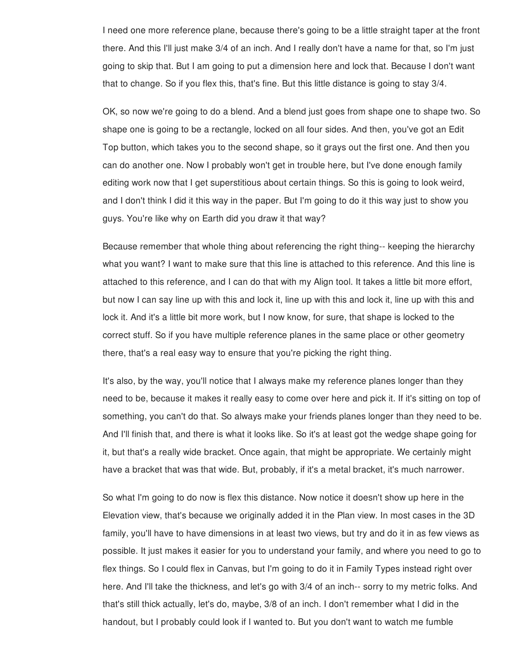I need one more reference plane, because there's going to be a little straight taper at the front there. And this I'll just make 3/4 of an inch. And I really don't have a name for that, so I'm just going to skip that. But I am going to put a dimension here and lock that. Because I don't want that to change. So if you flex this, that's fine. But this little distance is going to stay 3/4.

OK, so now we're going to do a blend. And a blend just goes from shape one to shape two. So shape one is going to be a rectangle, locked on all four sides. And then, you've got an Edit Top button, which takes you to the second shape, so it grays out the first one. And then you can do another one. Now I probably won't get in trouble here, but I've done enough family editing work now that I get superstitious about certain things. So this is going to look weird, and I don't think I did it this way in the paper. But I'm going to do it this way just to show you guys. You're like why on Earth did you draw it that way?

Because remember that whole thing about referencing the right thing-- keeping the hierarchy what you want? I want to make sure that this line is attached to this reference. And this line is attached to this reference, and I can do that with my Align tool. It takes a little bit more effort, but now I can say line up with this and lock it, line up with this and lock it, line up with this and lock it. And it's a little bit more work, but I now know, for sure, that shape is locked to the correct stuff. So if you have multiple reference planes in the same place or other geometry there, that's a real easy way to ensure that you're picking the right thing.

It's also, by the way, you'll notice that I always make my reference planes longer than they need to be, because it makes it really easy to come over here and pick it. If it's sitting on top of something, you can't do that. So always make your friends planes longer than they need to be. And I'll finish that, and there is what it looks like. So it's at least got the wedge shape going for it, but that's a really wide bracket. Once again, that might be appropriate. We certainly might have a bracket that was that wide. But, probably, if it's a metal bracket, it's much narrower.

So what I'm going to do now is flex this distance. Now notice it doesn't show up here in the Elevation view, that's because we originally added it in the Plan view. In most cases in the 3D family, you'll have to have dimensions in at least two views, but try and do it in as few views as possible. It just makes it easier for you to understand your family, and where you need to go to flex things. So I could flex in Canvas, but I'm going to do it in Family Types instead right over here. And I'll take the thickness, and let's go with 3/4 of an inch-- sorry to my metric folks. And that's still thick actually, let's do, maybe, 3/8 of an inch. I don't remember what I did in the handout, but I probably could look if I wanted to. But you don't want to watch me fumble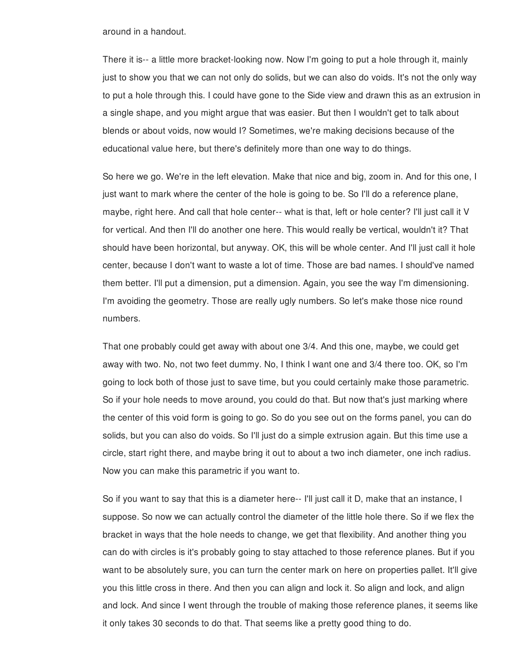around in a handout.

There it is-- a little more bracket-looking now. Now I'm going to put a hole through it, mainly just to show you that we can not only do solids, but we can also do voids. It's not the only way to put a hole through this. I could have gone to the Side view and drawn this as an extrusion in a single shape, and you might argue that was easier. But then I wouldn't get to talk about blends or about voids, now would I? Sometimes, we're making decisions because of the educational value here, but there's definitely more than one way to do things.

So here we go. We're in the left elevation. Make that nice and big, zoom in. And for this one, I just want to mark where the center of the hole is going to be. So I'll do a reference plane, maybe, right here. And call that hole center-- what is that, left or hole center? I'll just call it V for vertical. And then I'll do another one here. This would really be vertical, wouldn't it? That should have been horizontal, but anyway. OK, this will be whole center. And I'll just call it hole center, because I don't want to waste a lot of time. Those are bad names. I should've named them better. I'll put a dimension, put a dimension. Again, you see the way I'm dimensioning. I'm avoiding the geometry. Those are really ugly numbers. So let's make those nice round numbers.

That one probably could get away with about one 3/4. And this one, maybe, we could get away with two. No, not two feet dummy. No, I think I want one and 3/4 there too. OK, so I'm going to lock both of those just to save time, but you could certainly make those parametric. So if your hole needs to move around, you could do that. But now that's just marking where the center of this void form is going to go. So do you see out on the forms panel, you can do solids, but you can also do voids. So I'll just do a simple extrusion again. But this time use a circle, start right there, and maybe bring it out to about a two inch diameter, one inch radius. Now you can make this parametric if you want to.

So if you want to say that this is a diameter here-- I'll just call it D, make that an instance, I suppose. So now we can actually control the diameter of the little hole there. So if we flex the bracket in ways that the hole needs to change, we get that flexibility. And another thing you can do with circles is it's probably going to stay attached to those reference planes. But if you want to be absolutely sure, you can turn the center mark on here on properties pallet. It'll give you this little cross in there. And then you can align and lock it. So align and lock, and align and lock. And since I went through the trouble of making those reference planes, it seems like it only takes 30 seconds to do that. That seems like a pretty good thing to do.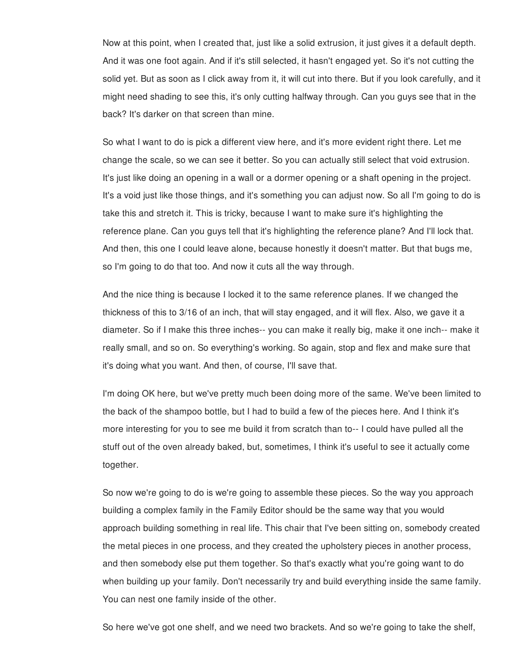Now at this point, when I created that, just like a solid extrusion, it just gives it a default depth. And it was one foot again. And if it's still selected, it hasn't engaged yet. So it's not cutting the solid yet. But as soon as I click away from it, it will cut into there. But if you look carefully, and it might need shading to see this, it's only cutting halfway through. Can you guys see that in the back? It's darker on that screen than mine.

So what I want to do is pick a different view here, and it's more evident right there. Let me change the scale, so we can see it better. So you can actually still select that void extrusion. It's just like doing an opening in a wall or a dormer opening or a shaft opening in the project. It's a void just like those things, and it's something you can adjust now. So all I'm going to do is take this and stretch it. This is tricky, because I want to make sure it's highlighting the reference plane. Can you guys tell that it's highlighting the reference plane? And I'll lock that. And then, this one I could leave alone, because honestly it doesn't matter. But that bugs me, so I'm going to do that too. And now it cuts all the way through.

And the nice thing is because I locked it to the same reference planes. If we changed the thickness of this to 3/16 of an inch, that will stay engaged, and it will flex. Also, we gave it a diameter. So if I make this three inches-- you can make it really big, make it one inch-- make it really small, and so on. So everything's working. So again, stop and flex and make sure that it's doing what you want. And then, of course, I'll save that.

I'm doing OK here, but we've pretty much been doing more of the same. We've been limited to the back of the shampoo bottle, but I had to build a few of the pieces here. And I think it's more interesting for you to see me build it from scratch than to-- I could have pulled all the stuff out of the oven already baked, but, sometimes, I think it's useful to see it actually come together.

So now we're going to do is we're going to assemble these pieces. So the way you approach building a complex family in the Family Editor should be the same way that you would approach building something in real life. This chair that I've been sitting on, somebody created the metal pieces in one process, and they created the upholstery pieces in another process, and then somebody else put them together. So that's exactly what you're going want to do when building up your family. Don't necessarily try and build everything inside the same family. You can nest one family inside of the other.

So here we've got one shelf, and we need two brackets. And so we're going to take the shelf,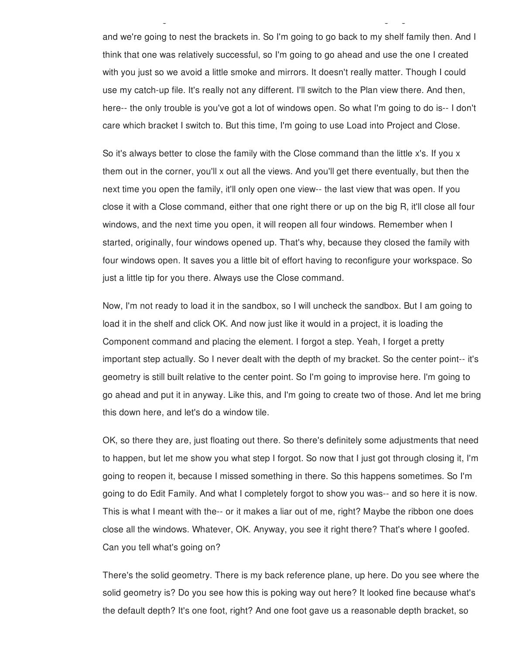and we're going to nest the brackets in. So I'm going to go back to my shelf family then. And I think that one was relatively successful, so I'm going to go ahead and use the one I created with you just so we avoid a little smoke and mirrors. It doesn't really matter. Though I could use my catch-up file. It's really not any different. I'll switch to the Plan view there. And then, here-- the only trouble is you've got a lot of windows open. So what I'm going to do is-- I don't care which bracket I switch to. But this time, I'm going to use Load into Project and Close.

So here we've got one shelf, and we need two brackets. And so we're going to take the shelf,

So it's always better to close the family with the Close command than the little x's. If you x them out in the corner, you'll x out all the views. And you'll get there eventually, but then the next time you open the family, it'll only open one view-- the last view that was open. If you close it with a Close command, either that one right there or up on the big R, it'll close all four windows, and the next time you open, it will reopen all four windows. Remember when I started, originally, four windows opened up. That's why, because they closed the family with four windows open. It saves you a little bit of effort having to reconfigure your workspace. So just a little tip for you there. Always use the Close command.

Now, I'm not ready to load it in the sandbox, so I will uncheck the sandbox. But I am going to load it in the shelf and click OK. And now just like it would in a project, it is loading the Component command and placing the element. I forgot a step. Yeah, I forget a pretty important step actually. So I never dealt with the depth of my bracket. So the center point-- it's geometry is still built relative to the center point. So I'm going to improvise here. I'm going to go ahead and put it in anyway. Like this, and I'm going to create two of those. And let me bring this down here, and let's do a window tile.

OK, so there they are, just floating out there. So there's definitely some adjustments that need to happen, but let me show you what step I forgot. So now that I just got through closing it, I'm going to reopen it, because I missed something in there. So this happens sometimes. So I'm going to do Edit Family. And what I completely forgot to show you was-- and so here it is now. This is what I meant with the-- or it makes a liar out of me, right? Maybe the ribbon one does close all the windows. Whatever, OK. Anyway, you see it right there? That's where I goofed. Can you tell what's going on?

There's the solid geometry. There is my back reference plane, up here. Do you see where the solid geometry is? Do you see how this is poking way out here? It looked fine because what's the default depth? It's one foot, right? And one foot gave us a reasonable depth bracket, so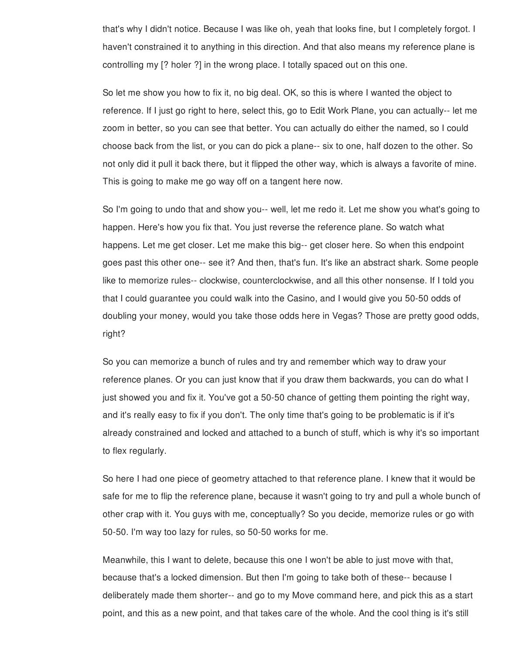that's why I didn't notice. Because I was like oh, yeah that looks fine, but I completely forgot. I haven't constrained it to anything in this direction. And that also means my reference plane is controlling my [? holer ?] in the wrong place. I totally spaced out on this one.

So let me show you how to fix it, no big deal. OK, so this is where I wanted the object to reference. If I just go right to here, select this, go to Edit Work Plane, you can actually-- let me zoom in better, so you can see that better. You can actually do either the named, so I could choose back from the list, or you can do pick a plane-- six to one, half dozen to the other. So not only did it pull it back there, but it flipped the other way, which is always a favorite of mine. This is going to make me go way off on a tangent here now.

So I'm going to undo that and show you-- well, let me redo it. Let me show you what's going to happen. Here's how you fix that. You just reverse the reference plane. So watch what happens. Let me get closer. Let me make this big-- get closer here. So when this endpoint goes past this other one-- see it? And then, that's fun. It's like an abstract shark. Some people like to memorize rules-- clockwise, counterclockwise, and all this other nonsense. If I told you that I could guarantee you could walk into the Casino, and I would give you 50-50 odds of doubling your money, would you take those odds here in Vegas? Those are pretty good odds, right?

So you can memorize a bunch of rules and try and remember which way to draw your reference planes. Or you can just know that if you draw them backwards, you can do what I just showed you and fix it. You've got a 50-50 chance of getting them pointing the right way, and it's really easy to fix if you don't. The only time that's going to be problematic is if it's already constrained and locked and attached to a bunch of stuff, which is why it's so important to flex regularly.

So here I had one piece of geometry attached to that reference plane. I knew that it would be safe for me to flip the reference plane, because it wasn't going to try and pull a whole bunch of other crap with it. You guys with me, conceptually? So you decide, memorize rules or go with 50-50. I'm way too lazy for rules, so 50-50 works for me.

Meanwhile, this I want to delete, because this one I won't be able to just move with that, because that's a locked dimension. But then I'm going to take both of these-- because I deliberately made them shorter-- and go to my Move command here, and pick this as a start point, and this as a new point, and that takes care of the whole. And the cool thing is it's still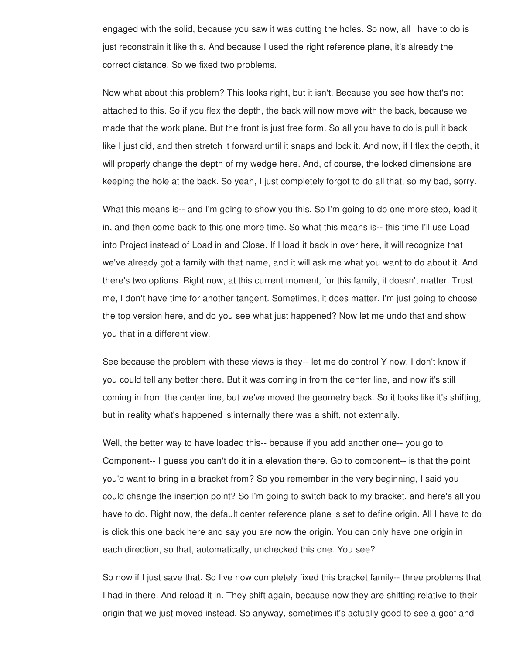engaged with the solid, because you saw it was cutting the holes. So now, all I have to do is just reconstrain it like this. And because I used the right reference plane, it's already the correct distance. So we fixed two problems.

Now what about this problem? This looks right, but it isn't. Because you see how that's not attached to this. So if you flex the depth, the back will now move with the back, because we made that the work plane. But the front is just free form. So all you have to do is pull it back like I just did, and then stretch it forward until it snaps and lock it. And now, if I flex the depth, it will properly change the depth of my wedge here. And, of course, the locked dimensions are keeping the hole at the back. So yeah, I just completely forgot to do all that, so my bad, sorry.

What this means is-- and I'm going to show you this. So I'm going to do one more step, load it in, and then come back to this one more time. So what this means is-- this time I'll use Load into Project instead of Load in and Close. If I load it back in over here, it will recognize that we've already got a family with that name, and it will ask me what you want to do about it. And there's two options. Right now, at this current moment, for this family, it doesn't matter. Trust me, I don't have time for another tangent. Sometimes, it does matter. I'm just going to choose the top version here, and do you see what just happened? Now let me undo that and show you that in a different view.

See because the problem with these views is they-- let me do control Y now. I don't know if you could tell any better there. But it was coming in from the center line, and now it's still coming in from the center line, but we've moved the geometry back. So it looks like it's shifting, but in reality what's happened is internally there was a shift, not externally.

Well, the better way to have loaded this-- because if you add another one-- you go to Component-- I guess you can't do it in a elevation there. Go to component-- is that the point you'd want to bring in a bracket from? So you remember in the very beginning, I said you could change the insertion point? So I'm going to switch back to my bracket, and here's all you have to do. Right now, the default center reference plane is set to define origin. All I have to do is click this one back here and say you are now the origin. You can only have one origin in each direction, so that, automatically, unchecked this one. You see?

So now if I just save that. So I've now completely fixed this bracket family-- three problems that I had in there. And reload it in. They shift again, because now they are shifting relative to their origin that we just moved instead. So anyway, sometimes it's actually good to see a goof and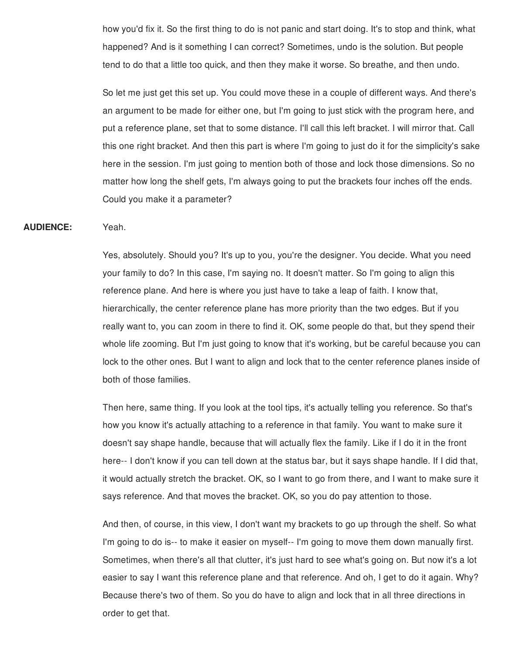how you'd fix it. So the first thing to do is not panic and start doing. It's to stop and think, what happened? And is it something I can correct? Sometimes, undo is the solution. But people tend to do that a little too quick, and then they make it worse. So breathe, and then undo.

So let me just get this set up. You could move these in a couple of different ways. And there's an argument to be made for either one, but I'm going to just stick with the program here, and put a reference plane, set that to some distance. I'll call this left bracket. I will mirror that. Call this one right bracket. And then this part is where I'm going to just do it for the simplicity's sake here in the session. I'm just going to mention both of those and lock those dimensions. So no matter how long the shelf gets, I'm always going to put the brackets four inches off the ends. Could you make it a parameter?

#### **AUDIENCE:** Yeah.

Yes, absolutely. Should you? It's up to you, you're the designer. You decide. What you need your family to do? In this case, I'm saying no. It doesn't matter. So I'm going to align this reference plane. And here is where you just have to take a leap of faith. I know that, hierarchically, the center reference plane has more priority than the two edges. But if you really want to, you can zoom in there to find it. OK, some people do that, but they spend their whole life zooming. But I'm just going to know that it's working, but be careful because you can lock to the other ones. But I want to align and lock that to the center reference planes inside of both of those families.

Then here, same thing. If you look at the tool tips, it's actually telling you reference. So that's how you know it's actually attaching to a reference in that family. You want to make sure it doesn't say shape handle, because that will actually flex the family. Like if I do it in the front here-- I don't know if you can tell down at the status bar, but it says shape handle. If I did that, it would actually stretch the bracket. OK, so I want to go from there, and I want to make sure it says reference. And that moves the bracket. OK, so you do pay attention to those.

And then, of course, in this view, I don't want my brackets to go up through the shelf. So what I'm going to do is-- to make it easier on myself-- I'm going to move them down manually first. Sometimes, when there's all that clutter, it's just hard to see what's going on. But now it's a lot easier to say I want this reference plane and that reference. And oh, I get to do it again. Why? Because there's two of them. So you do have to align and lock that in all three directions in order to get that.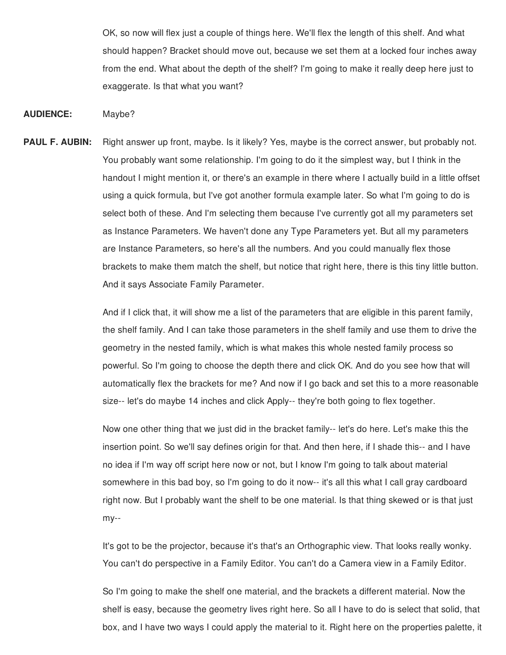OK, so now will flex just a couple of things here. We'll flex the length of this shelf. And what should happen? Bracket should move out, because we set them at a locked four inches away from the end. What about the depth of the shelf? I'm going to make it really deep here just to exaggerate. Is that what you want?

**AUDIENCE:** Maybe?

**PAUL F. AUBIN:** Right answer up front, maybe. Is it likely? Yes, maybe is the correct answer, but probably not. You probably want some relationship. I'm going to do it the simplest way, but I think in the handout I might mention it, or there's an example in there where I actually build in a little offset using a quick formula, but I've got another formula example later. So what I'm going to do is select both of these. And I'm selecting them because I've currently got all my parameters set as Instance Parameters. We haven't done any Type Parameters yet. But all my parameters are Instance Parameters, so here's all the numbers. And you could manually flex those brackets to make them match the shelf, but notice that right here, there is this tiny little button. And it says Associate Family Parameter.

> And if I click that, it will show me a list of the parameters that are eligible in this parent family, the shelf family. And I can take those parameters in the shelf family and use them to drive the geometry in the nested family, which is what makes this whole nested family process so powerful. So I'm going to choose the depth there and click OK. And do you see how that will automatically flex the brackets for me? And now if I go back and set this to a more reasonable size-- let's do maybe 14 inches and click Apply-- they're both going to flex together.

Now one other thing that we just did in the bracket family-- let's do here. Let's make this the insertion point. So we'll say defines origin for that. And then here, if I shade this-- and I have no idea if I'm way off script here now or not, but I know I'm going to talk about material somewhere in this bad boy, so I'm going to do it now-- it's all this what I call gray cardboard right now. But I probably want the shelf to be one material. Is that thing skewed or is that just my--

It's got to be the projector, because it's that's an Orthographic view. That looks really wonky. You can't do perspective in a Family Editor. You can't do a Camera view in a Family Editor.

So I'm going to make the shelf one material, and the brackets a different material. Now the shelf is easy, because the geometry lives right here. So all I have to do is select that solid, that box, and I have two ways I could apply the material to it. Right here on the properties palette, it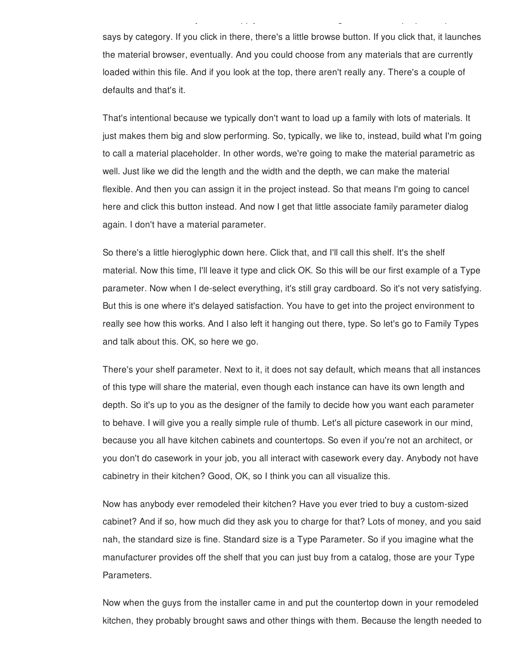says by category. If you click in there, there's a little browse button. If you click that, it launches the material browser, eventually. And you could choose from any materials that are currently loaded within this file. And if you look at the top, there aren't really any. There's a couple of defaults and that's it.

box, and I have two ways I could apply the material to it. Right here on the properties palette, it

That's intentional because we typically don't want to load up a family with lots of materials. It just makes them big and slow performing. So, typically, we like to, instead, build what I'm going to call a material placeholder. In other words, we're going to make the material parametric as well. Just like we did the length and the width and the depth, we can make the material flexible. And then you can assign it in the project instead. So that means I'm going to cancel here and click this button instead. And now I get that little associate family parameter dialog again. I don't have a material parameter.

So there's a little hieroglyphic down here. Click that, and I'll call this shelf. It's the shelf material. Now this time, I'll leave it type and click OK. So this will be our first example of a Type parameter. Now when I de-select everything, it's still gray cardboard. So it's not very satisfying. But this is one where it's delayed satisfaction. You have to get into the project environment to really see how this works. And I also left it hanging out there, type. So let's go to Family Types and talk about this. OK, so here we go.

There's your shelf parameter. Next to it, it does not say default, which means that all instances of this type will share the material, even though each instance can have its own length and depth. So it's up to you as the designer of the family to decide how you want each parameter to behave. I will give you a really simple rule of thumb. Let's all picture casework in our mind, because you all have kitchen cabinets and countertops. So even if you're not an architect, or you don't do casework in your job, you all interact with casework every day. Anybody not have cabinetry in their kitchen? Good, OK, so I think you can all visualize this.

Now has anybody ever remodeled their kitchen? Have you ever tried to buy a custom-sized cabinet? And if so, how much did they ask you to charge for that? Lots of money, and you said nah, the standard size is fine. Standard size is a Type Parameter. So if you imagine what the manufacturer provides off the shelf that you can just buy from a catalog, those are your Type Parameters.

Now when the guys from the installer came in and put the countertop down in your remodeled kitchen, they probably brought saws and other things with them. Because the length needed to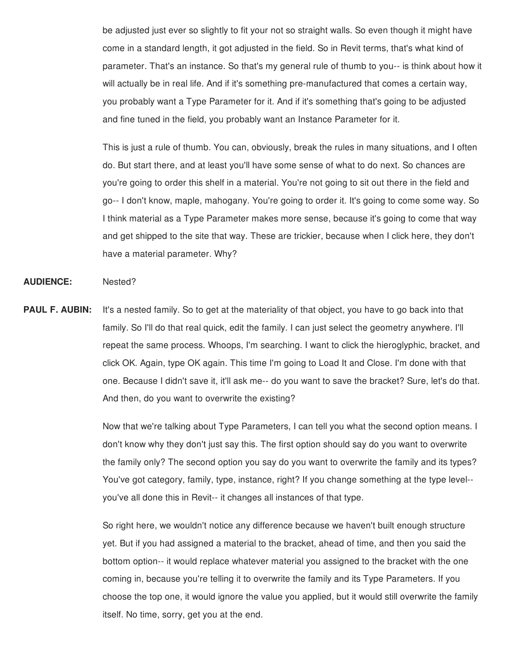be adjusted just ever so slightly to fit your not so straight walls. So even though it might have come in a standard length, it got adjusted in the field. So in Revit terms, that's what kind of parameter. That's an instance. So that's my general rule of thumb to you-- is think about how it will actually be in real life. And if it's something pre-manufactured that comes a certain way, you probably want a Type Parameter for it. And if it's something that's going to be adjusted and fine tuned in the field, you probably want an Instance Parameter for it.

This is just a rule of thumb. You can, obviously, break the rules in many situations, and I often do. But start there, and at least you'll have some sense of what to do next. So chances are you're going to order this shelf in a material. You're not going to sit out there in the field and go-- I don't know, maple, mahogany. You're going to order it. It's going to come some way. So I think material as a Type Parameter makes more sense, because it's going to come that way and get shipped to the site that way. These are trickier, because when I click here, they don't have a material parameter. Why?

#### **AUDIENCE:** Nested?

**PAUL F. AUBIN:** It's a nested family. So to get at the materiality of that object, you have to go back into that family. So I'll do that real quick, edit the family. I can just select the geometry anywhere. I'll repeat the same process. Whoops, I'm searching. I want to click the hieroglyphic, bracket, and click OK. Again, type OK again. This time I'm going to Load It and Close. I'm done with that one. Because I didn't save it, it'll ask me-- do you want to save the bracket? Sure, let's do that. And then, do you want to overwrite the existing?

> Now that we're talking about Type Parameters, I can tell you what the second option means. I don't know why they don't just say this. The first option should say do you want to overwrite the family only? The second option you say do you want to overwrite the family and its types? You've got category, family, type, instance, right? If you change something at the type level- you've all done this in Revit-- it changes all instances of that type.

> So right here, we wouldn't notice any difference because we haven't built enough structure yet. But if you had assigned a material to the bracket, ahead of time, and then you said the bottom option-- it would replace whatever material you assigned to the bracket with the one coming in, because you're telling it to overwrite the family and its Type Parameters. If you choose the top one, it would ignore the value you applied, but it would still overwrite the family itself. No time, sorry, get you at the end.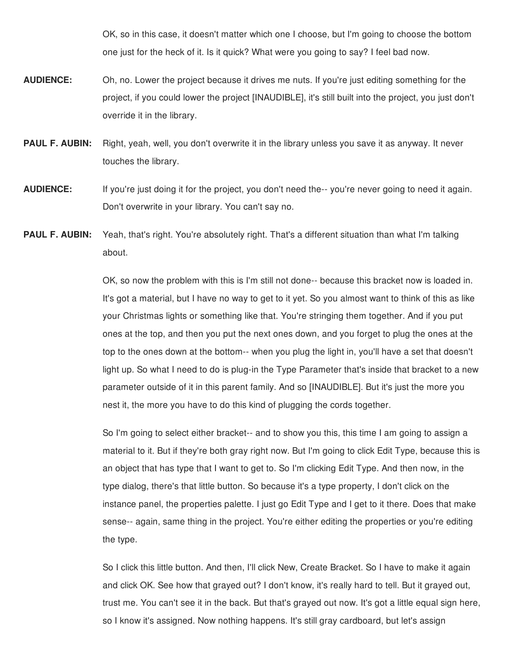OK, so in this case, it doesn't matter which one I choose, but I'm going to choose the bottom one just for the heck of it. Is it quick? What were you going to say? I feel bad now.

- **AUDIENCE:** Oh, no. Lower the project because it drives me nuts. If you're just editing something for the project, if you could lower the project [INAUDIBLE], it's still built into the project, you just don't override it in the library.
- **PAUL F. AUBIN:** Right, yeah, well, you don't overwrite it in the library unless you save it as anyway. It never touches the library.
- **AUDIENCE:** If you're just doing it for the project, you don't need the-- you're never going to need it again. Don't overwrite in your library. You can't say no.
- **PAUL F. AUBIN:** Yeah, that's right. You're absolutely right. That's a different situation than what I'm talking about.

OK, so now the problem with this is I'm still not done-- because this bracket now is loaded in. It's got a material, but I have no way to get to it yet. So you almost want to think of this as like your Christmas lights or something like that. You're stringing them together. And if you put ones at the top, and then you put the next ones down, and you forget to plug the ones at the top to the ones down at the bottom-- when you plug the light in, you'll have a set that doesn't light up. So what I need to do is plug-in the Type Parameter that's inside that bracket to a new parameter outside of it in this parent family. And so [INAUDIBLE]. But it's just the more you nest it, the more you have to do this kind of plugging the cords together.

So I'm going to select either bracket-- and to show you this, this time I am going to assign a material to it. But if they're both gray right now. But I'm going to click Edit Type, because this is an object that has type that I want to get to. So I'm clicking Edit Type. And then now, in the type dialog, there's that little button. So because it's a type property, I don't click on the instance panel, the properties palette. I just go Edit Type and I get to it there. Does that make sense-- again, same thing in the project. You're either editing the properties or you're editing the type.

So I click this little button. And then, I'll click New, Create Bracket. So I have to make it again and click OK. See how that grayed out? I don't know, it's really hard to tell. But it grayed out, trust me. You can't see it in the back. But that's grayed out now. It's got a little equal sign here, so I know it's assigned. Now nothing happens. It's still gray cardboard, but let's assign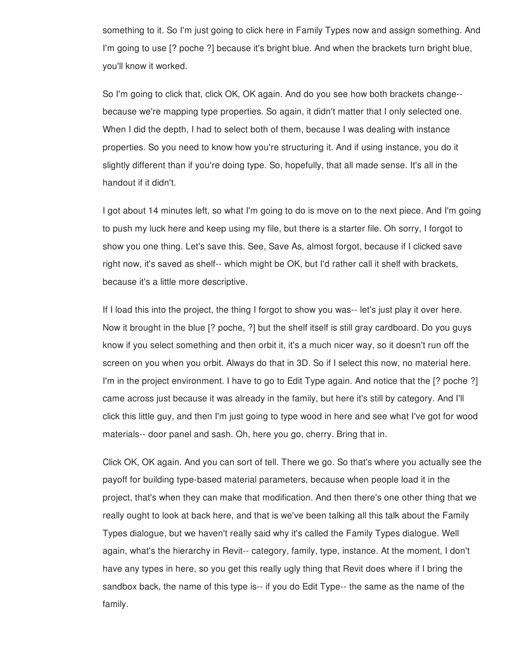something to it. So I'm just going to click here in Family Types now and assign something. And I'm going to use [? poche ?] because it's bright blue. And when the brackets turn bright blue, you'll know it worked.

So I'm going to click that, click OK, OK again. And do you see how both brackets change- because we're mapping type properties. So again, it didn't matter that I only selected one. When I did the depth, I had to select both of them, because I was dealing with instance properties. So you need to know how you're structuring it. And if using instance, you do it slightly different than if you're doing type. So, hopefully, that all made sense. It's all in the handout if it didn't.

I got about 14 minutes left, so what I'm going to do is move on to the next piece. And I'm going to push my luck here and keep using my file, but there is a starter file. Oh sorry, I forgot to show you one thing. Let's save this. See, Save As, almost forgot, because if I clicked save right now, it's saved as shelf-- which might be OK, but I'd rather call it shelf with brackets, because it's a little more descriptive.

If I load this into the project, the thing I forgot to show you was-- let's just play it over here. Now it brought in the blue [? poche, ?] but the shelf itself is still gray cardboard. Do you guys know if you select something and then orbit it, it's a much nicer way, so it doesn't run off the screen on you when you orbit. Always do that in 3D. So if I select this now, no material here. I'm in the project environment. I have to go to Edit Type again. And notice that the [? poche ?] came across just because it was already in the family, but here it's still by category. And I'll click this little guy, and then I'm just going to type wood in here and see what I've got for wood materials-- door panel and sash. Oh, here you go, cherry. Bring that in.

Click OK, OK again. And you can sort of tell. There we go. So that's where you actually see the payoff for building type-based material parameters, because when people load it in the project, that's when they can make that modification. And then there's one other thing that we really ought to look at back here, and that is we've been talking all this talk about the Family Types dialogue, but we haven't really said why it's called the Family Types dialogue. Well again, what's the hierarchy in Revit-- category, family, type, instance. At the moment, I don't have any types in here, so you get this really ugly thing that Revit does where if I bring the sandbox back, the name of this type is-- if you do Edit Type-- the same as the name of the family.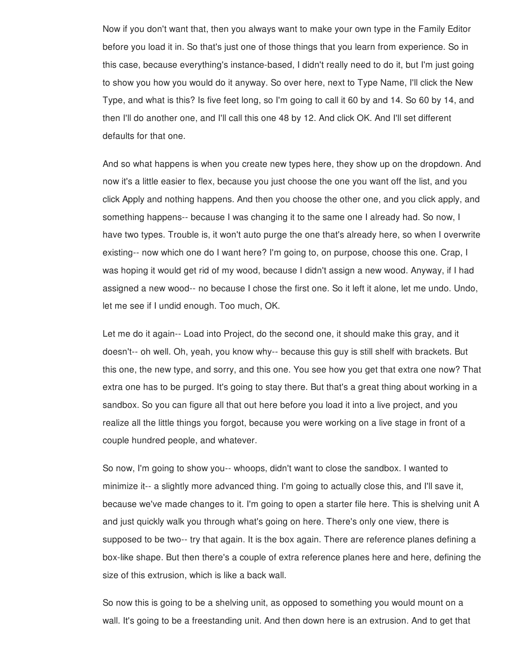Now if you don't want that, then you always want to make your own type in the Family Editor before you load it in. So that's just one of those things that you learn from experience. So in this case, because everything's instance-based, I didn't really need to do it, but I'm just going to show you how you would do it anyway. So over here, next to Type Name, I'll click the New Type, and what is this? Is five feet long, so I'm going to call it 60 by and 14. So 60 by 14, and then I'll do another one, and I'll call this one 48 by 12. And click OK. And I'll set different defaults for that one.

And so what happens is when you create new types here, they show up on the dropdown. And now it's a little easier to flex, because you just choose the one you want off the list, and you click Apply and nothing happens. And then you choose the other one, and you click apply, and something happens-- because I was changing it to the same one I already had. So now, I have two types. Trouble is, it won't auto purge the one that's already here, so when I overwrite existing-- now which one do I want here? I'm going to, on purpose, choose this one. Crap, I was hoping it would get rid of my wood, because I didn't assign a new wood. Anyway, if I had assigned a new wood-- no because I chose the first one. So it left it alone, let me undo. Undo, let me see if I undid enough. Too much, OK.

Let me do it again-- Load into Project, do the second one, it should make this gray, and it doesn't-- oh well. Oh, yeah, you know why-- because this guy is still shelf with brackets. But this one, the new type, and sorry, and this one. You see how you get that extra one now? That extra one has to be purged. It's going to stay there. But that's a great thing about working in a sandbox. So you can figure all that out here before you load it into a live project, and you realize all the little things you forgot, because you were working on a live stage in front of a couple hundred people, and whatever.

So now, I'm going to show you-- whoops, didn't want to close the sandbox. I wanted to minimize it-- a slightly more advanced thing. I'm going to actually close this, and I'll save it, because we've made changes to it. I'm going to open a starter file here. This is shelving unit A and just quickly walk you through what's going on here. There's only one view, there is supposed to be two-- try that again. It is the box again. There are reference planes defining a box-like shape. But then there's a couple of extra reference planes here and here, defining the size of this extrusion, which is like a back wall.

So now this is going to be a shelving unit, as opposed to something you would mount on a wall. It's going to be a freestanding unit. And then down here is an extrusion. And to get that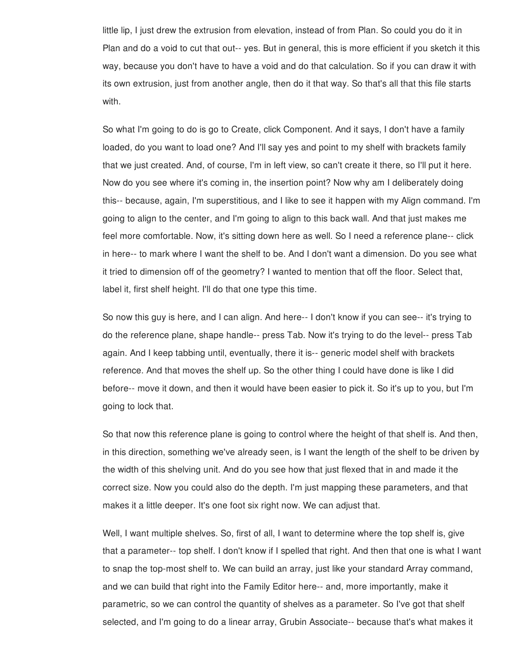little lip, I just drew the extrusion from elevation, instead of from Plan. So could you do it in Plan and do a void to cut that out-- yes. But in general, this is more efficient if you sketch it this way, because you don't have to have a void and do that calculation. So if you can draw it with its own extrusion, just from another angle, then do it that way. So that's all that this file starts with.

So what I'm going to do is go to Create, click Component. And it says, I don't have a family loaded, do you want to load one? And I'll say yes and point to my shelf with brackets family that we just created. And, of course, I'm in left view, so can't create it there, so I'll put it here. Now do you see where it's coming in, the insertion point? Now why am I deliberately doing this-- because, again, I'm superstitious, and I like to see it happen with my Align command. I'm going to align to the center, and I'm going to align to this back wall. And that just makes me feel more comfortable. Now, it's sitting down here as well. So I need a reference plane-- click in here-- to mark where I want the shelf to be. And I don't want a dimension. Do you see what it tried to dimension off of the geometry? I wanted to mention that off the floor. Select that, label it, first shelf height. I'll do that one type this time.

So now this guy is here, and I can align. And here-- I don't know if you can see-- it's trying to do the reference plane, shape handle-- press Tab. Now it's trying to do the level-- press Tab again. And I keep tabbing until, eventually, there it is-- generic model shelf with brackets reference. And that moves the shelf up. So the other thing I could have done is like I did before-- move it down, and then it would have been easier to pick it. So it's up to you, but I'm going to lock that.

So that now this reference plane is going to control where the height of that shelf is. And then, in this direction, something we've already seen, is I want the length of the shelf to be driven by the width of this shelving unit. And do you see how that just flexed that in and made it the correct size. Now you could also do the depth. I'm just mapping these parameters, and that makes it a little deeper. It's one foot six right now. We can adjust that.

Well, I want multiple shelves. So, first of all, I want to determine where the top shelf is, give that a parameter-- top shelf. I don't know if I spelled that right. And then that one is what I want to snap the top-most shelf to. We can build an array, just like your standard Array command, and we can build that right into the Family Editor here-- and, more importantly, make it parametric, so we can control the quantity of shelves as a parameter. So I've got that shelf selected, and I'm going to do a linear array, Grubin Associate-- because that's what makes it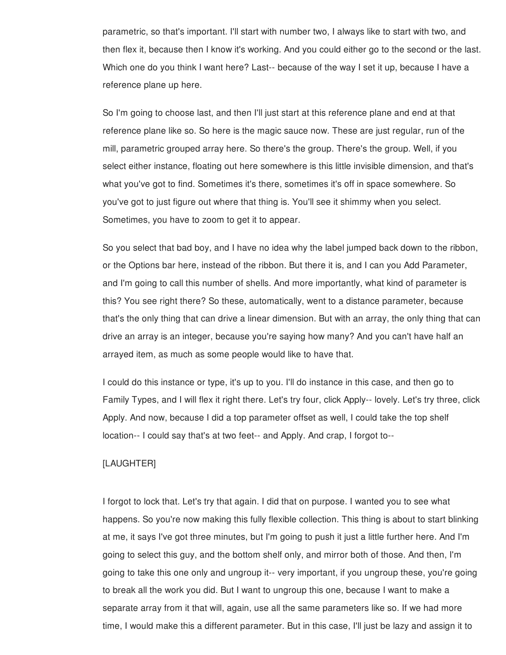parametric, so that's important. I'll start with number two, I always like to start with two, and then flex it, because then I know it's working. And you could either go to the second or the last. Which one do you think I want here? Last-- because of the way I set it up, because I have a reference plane up here.

So I'm going to choose last, and then I'll just start at this reference plane and end at that reference plane like so. So here is the magic sauce now. These are just regular, run of the mill, parametric grouped array here. So there's the group. There's the group. Well, if you select either instance, floating out here somewhere is this little invisible dimension, and that's what you've got to find. Sometimes it's there, sometimes it's off in space somewhere. So you've got to just figure out where that thing is. You'll see it shimmy when you select. Sometimes, you have to zoom to get it to appear.

So you select that bad boy, and I have no idea why the label jumped back down to the ribbon, or the Options bar here, instead of the ribbon. But there it is, and I can you Add Parameter, and I'm going to call this number of shells. And more importantly, what kind of parameter is this? You see right there? So these, automatically, went to a distance parameter, because that's the only thing that can drive a linear dimension. But with an array, the only thing that can drive an array is an integer, because you're saying how many? And you can't have half an arrayed item, as much as some people would like to have that.

I could do this instance or type, it's up to you. I'll do instance in this case, and then go to Family Types, and I will flex it right there. Let's try four, click Apply-- lovely. Let's try three, click Apply. And now, because I did a top parameter offset as well, I could take the top shelf location-- I could say that's at two feet-- and Apply. And crap, I forgot to--

### [LAUGHTER]

I forgot to lock that. Let's try that again. I did that on purpose. I wanted you to see what happens. So you're now making this fully flexible collection. This thing is about to start blinking at me, it says I've got three minutes, but I'm going to push it just a little further here. And I'm going to select this guy, and the bottom shelf only, and mirror both of those. And then, I'm going to take this one only and ungroup it-- very important, if you ungroup these, you're going to break all the work you did. But I want to ungroup this one, because I want to make a separate array from it that will, again, use all the same parameters like so. If we had more time, I would make this a different parameter. But in this case, I'll just be lazy and assign it to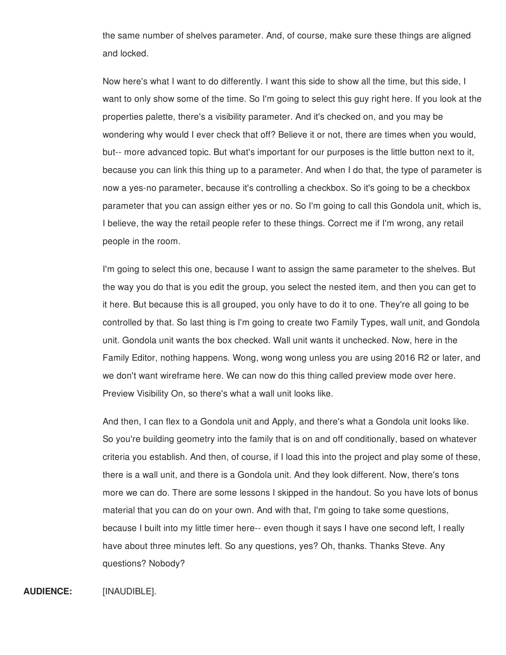the same number of shelves parameter. And, of course, make sure these things are aligned and locked.

Now here's what I want to do differently. I want this side to show all the time, but this side, I want to only show some of the time. So I'm going to select this guy right here. If you look at the properties palette, there's a visibility parameter. And it's checked on, and you may be wondering why would I ever check that off? Believe it or not, there are times when you would, but-- more advanced topic. But what's important for our purposes is the little button next to it, because you can link this thing up to a parameter. And when I do that, the type of parameter is now a yes-no parameter, because it's controlling a checkbox. So it's going to be a checkbox parameter that you can assign either yes or no. So I'm going to call this Gondola unit, which is, I believe, the way the retail people refer to these things. Correct me if I'm wrong, any retail people in the room.

I'm going to select this one, because I want to assign the same parameter to the shelves. But the way you do that is you edit the group, you select the nested item, and then you can get to it here. But because this is all grouped, you only have to do it to one. They're all going to be controlled by that. So last thing is I'm going to create two Family Types, wall unit, and Gondola unit. Gondola unit wants the box checked. Wall unit wants it unchecked. Now, here in the Family Editor, nothing happens. Wong, wong wong unless you are using 2016 R2 or later, and we don't want wireframe here. We can now do this thing called preview mode over here. Preview Visibility On, so there's what a wall unit looks like.

And then, I can flex to a Gondola unit and Apply, and there's what a Gondola unit looks like. So you're building geometry into the family that is on and off conditionally, based on whatever criteria you establish. And then, of course, if I load this into the project and play some of these, there is a wall unit, and there is a Gondola unit. And they look different. Now, there's tons more we can do. There are some lessons I skipped in the handout. So you have lots of bonus material that you can do on your own. And with that, I'm going to take some questions, because I built into my little timer here-- even though it says I have one second left, I really have about three minutes left. So any questions, yes? Oh, thanks. Thanks Steve. Any questions? Nobody?

## **AUDIENCE:** [INAUDIBLE].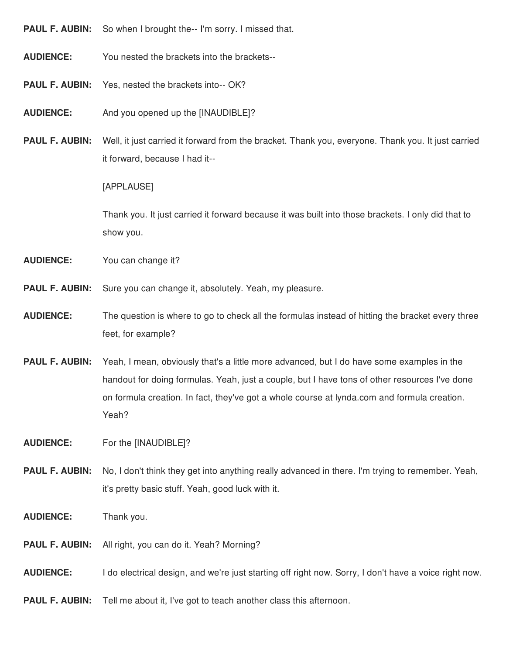- **PAUL F. AUBIN:** So when I brought the-- I'm sorry. I missed that.
- **AUDIENCE:** You nested the brackets into the brackets--
- **PAUL F. AUBIN:** Yes, nested the brackets into-- OK?
- **AUDIENCE:** And you opened up the [INAUDIBLE]?
- **PAUL F. AUBIN:** Well, it just carried it forward from the bracket. Thank you, everyone. Thank you. It just carried it forward, because I had it--

[APPLAUSE]

Thank you. It just carried it forward because it was built into those brackets. I only did that to show you.

- **AUDIENCE:** You can change it?
- **PAUL F. AUBIN:** Sure you can change it, absolutely. Yeah, my pleasure.
- **AUDIENCE:** The question is where to go to check all the formulas instead of hitting the bracket every three feet, for example?
- **PAUL F. AUBIN:** Yeah, I mean, obviously that's a little more advanced, but I do have some examples in the handout for doing formulas. Yeah, just a couple, but I have tons of other resources I've done on formula creation. In fact, they've got a whole course at lynda.com and formula creation. Yeah?
- **AUDIENCE:** For the [INAUDIBLE]?
- **PAUL F. AUBIN:** No, I don't think they get into anything really advanced in there. I'm trying to remember. Yeah, it's pretty basic stuff. Yeah, good luck with it.
- **AUDIENCE:** Thank you.
- **PAUL F. AUBIN:** All right, you can do it. Yeah? Morning?
- **AUDIENCE:** I do electrical design, and we're just starting off right now. Sorry, I don't have a voice right now.
- **PAUL F. AUBIN:** Tell me about it, I've got to teach another class this afternoon.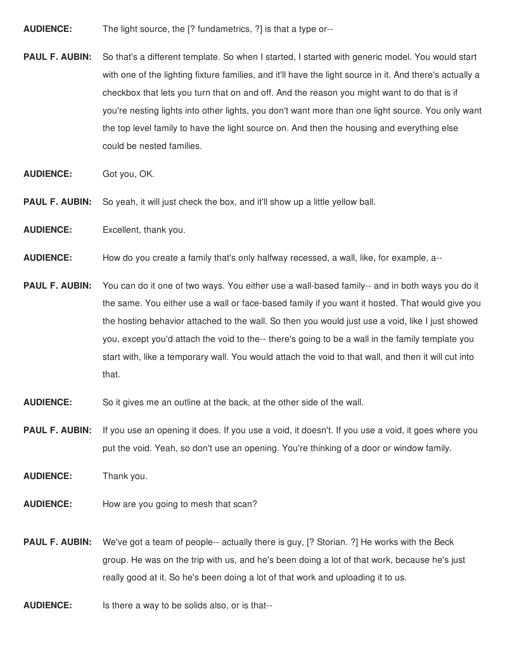- **AUDIENCE:** The light source, the [? fundametrics, ?] is that a type or--
- **PAUL F. AUBIN:** So that's a different template. So when I started, I started with generic model. You would start with one of the lighting fixture families, and it'll have the light source in it. And there's actually a checkbox that lets you turn that on and off. And the reason you might want to do that is if you're nesting lights into other lights, you don't want more than one light source. You only want the top level family to have the light source on. And then the housing and everything else could be nested families.
- **AUDIENCE:** Got you, OK.
- **PAUL F. AUBIN:** So yeah, it will just check the box, and it'll show up a little yellow ball.
- **AUDIENCE:** Excellent, thank you.
- **AUDIENCE:** How do you create a family that's only halfway recessed, a wall, like, for example, a--
- **PAUL F. AUBIN:** You can do it one of two ways. You either use a wall-based family-- and in both ways you do it the same. You either use a wall or face-based family if you want it hosted. That would give you the hosting behavior attached to the wall. So then you would just use a void, like I just showed you, except you'd attach the void to the-- there's going to be a wall in the family template you start with, like a temporary wall. You would attach the void to that wall, and then it will cut into that.
- **AUDIENCE:** So it gives me an outline at the back, at the other side of the wall.
- **PAUL F. AUBIN:** If you use an opening it does. If you use a void, it doesn't. If you use a void, it goes where you put the void. Yeah, so don't use an opening. You're thinking of a door or window family.
- **AUDIENCE:** Thank you.
- **AUDIENCE:** How are you going to mesh that scan?
- **PAUL F. AUBIN:** We've got a team of people-- actually there is guy, [? Storian. ?] He works with the Beck group. He was on the trip with us, and he's been doing a lot of that work, because he's just really good at it. So he's been doing a lot of that work and uploading it to us.
- **AUDIENCE:** Is there a way to be solids also, or is that--